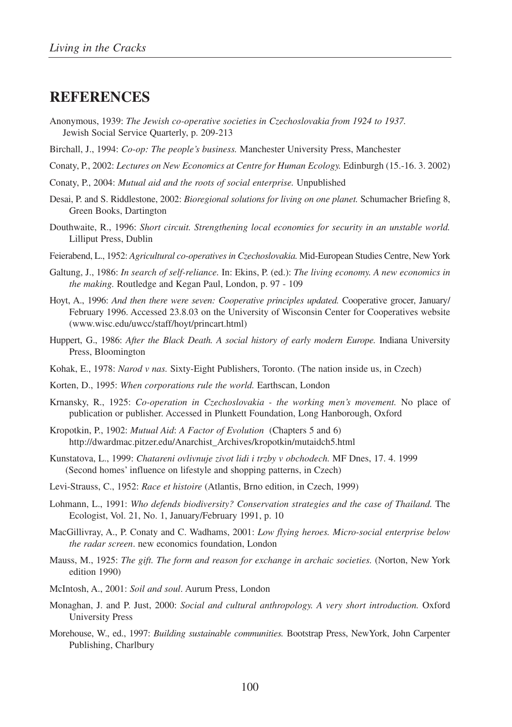# **REFERENCES**

- Anonymous, 1939: *The Jewish co-operative societies in Czechoslovakia from 1924 to 1937.*  Jewish Social Service Quarterly, p. 209-213
- Birchall, J., 1994: *Co-op: The people's business.* Manchester University Press, Manchester
- Conaty, P., 2002: *Lectures on New Economics at Centre for Human Ecology.* Edinburgh (15.-16. 3. 2002)
- Conaty, P., 2004: *Mutual aid and the roots of social enterprise.* Unpublished
- Desai, P. and S. Riddlestone, 2002: *Bioregional solutions for living on one planet.* Schumacher Briefing 8, Green Books, Dartington
- Douthwaite, R., 1996: *Short circuit. Strengthening local economies for security in an unstable world.*  Lilliput Press, Dublin
- Feierabend, L., 1952: *Agricultural co-operatives in Czechoslovakia.* Mid-European Studies Centre, New York
- Galtung, J., 1986: *In search of self-reliance.* In: Ekins, P. (ed.): *The living economy. A new economics in the making.* Routledge and Kegan Paul, London, p. 97 - 109
- Hoyt, A., 1996: *And then there were seven: Cooperative principles updated.* Cooperative grocer, January/ February 1996. Accessed 23.8.03 on the University of Wisconsin Center for Cooperatives website (www.wisc.edu/uwcc/staff/hoyt/princart.html)
- Huppert, G., 1986: *After the Black Death. A social history of early modern Europe.* Indiana University Press, Bloomington
- Kohak, E., 1978: *Narod v nas.* Sixty-Eight Publishers, Toronto. (The nation inside us, in Czech)
- Korten, D., 1995: *When corporations rule the world.* Earthscan, London
- Krnansky, R., 1925: *Co-operation in Czechoslovakia the working men's movement.* No place of publication or publisher. Accessed in Plunkett Foundation, Long Hanborough, Oxford
- Kropotkin, P., 1902: *Mutual Aid*: *A Factor of Evolution* (Chapters 5 and 6) http://dwardmac.pitzer.edu/Anarchist\_Archives/kropotkin/mutaidch5.html
- Kunstatova, L., 1999: *Chatareni ovlivnuje zivot lidi i trzby v obchodech.* MF Dnes, 17. 4. 1999 (Second homes' influence on lifestyle and shopping patterns, in Czech)
- Levi-Strauss, C., 1952: *Race et histoire* (Atlantis, Brno edition, in Czech, 1999)
- Lohmann, L., 1991: *Who defends biodiversity? Conservation strategies and the case of Thailand.* The Ecologist, Vol. 21, No. 1, January/February 1991, p. 10
- MacGillivray, A., P. Conaty and C. Wadhams, 2001: *Low flying heroes. Micro-social enterprise below the radar screen*. new economics foundation, London
- Mauss, M., 1925: *The gift. The form and reason for exchange in archaic societies.* (Norton, New York edition 1990)
- McIntosh, A., 2001: *Soil and soul*. Aurum Press, London
- Monaghan, J. and P. Just, 2000: *Social and cultural anthropology. A very short introduction.* Oxford University Press
- Morehouse, W., ed., 1997: *Building sustainable communities.* Bootstrap Press, NewYork, John Carpenter Publishing, Charlbury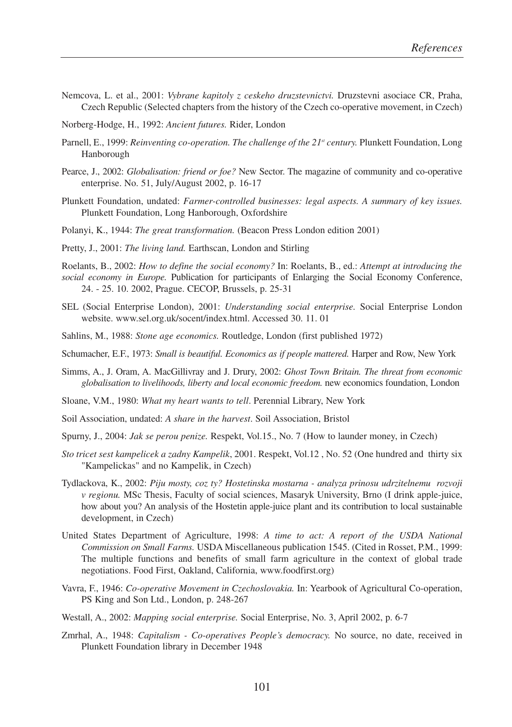- Nemcova, L. et al., 2001: *Vybrane kapitoly z ceskeho druzstevnictvi.* Druzstevni asociace CR, Praha, Czech Republic (Selected chapters from the history of the Czech co-operative movement, in Czech)
- Norberg-Hodge, H., 1992: *Ancient futures.* Rider, London
- Parnell, E., 1999: *Reinventing co-operation. The challenge of the 21<sup>st</sup> century. Plunkett Foundation, Long* Hanborough
- Pearce, J., 2002: *Globalisation: friend or foe?* New Sector. The magazine of community and co-operative enterprise. No. 51, July/August 2002, p. 16-17
- Plunkett Foundation, undated: *Farmer-controlled businesses: legal aspects. A summary of key issues.* Plunkett Foundation, Long Hanborough, Oxfordshire
- Polanyi, K., 1944: *The great transformation.* (Beacon Press London edition 2001)
- Pretty, J., 2001: *The living land.* Earthscan, London and Stirling
- Roelants, B., 2002: *How to define the social economy?* In: Roelants, B., ed.: *Attempt at introducing the social economy in Europe.* Publication for participants of Enlarging the Social Economy Conference, 24. - 25. 10. 2002, Prague. CECOP, Brussels, p. 25-31
- SEL (Social Enterprise London), 2001: *Understanding social enterprise.* Social Enterprise London website. www.sel.org.uk/socent/index.html. Accessed 30. 11. 01
- Sahlins, M., 1988: *Stone age economics.* Routledge, London (first published 1972)
- Schumacher, E.F., 1973: *Small is beautiful. Economics as if people mattered.* Harper and Row, New York
- Simms, A., J. Oram, A. MacGillivray and J. Drury, 2002: *Ghost Town Britain. The threat from economic globalisation to livelihoods, liberty and local economic freedom.* new economics foundation, London
- Sloane, V.M., 1980: *What my heart wants to tell*. Perennial Library, New York
- Soil Association, undated: *A share in the harvest*. Soil Association, Bristol
- Spurny, J., 2004: *Jak se perou penize.* Respekt, Vol.15., No. 7 (How to launder money, in Czech)
- *Sto tricet sest kampelicek a zadny Kampelik*, 2001. Respekt, Vol.12 , No. 52 (One hundred and thirty six "Kampelickas" and no Kampelik, in Czech)
- Tydlackova, K., 2002: *Piju mosty, coz ty? Hostetinska mostarna analyza prinosu udrzitelnemu rozvoji v regionu.* MSc Thesis, Faculty of social sciences, Masaryk University, Brno (I drink apple-juice, how about you? An analysis of the Hostetin apple-juice plant and its contribution to local sustainable development, in Czech)
- United States Department of Agriculture, 1998: *A time to act: A report of the USDA National Commission on Small Farms.* USDA Miscellaneous publication 1545. (Cited in Rosset, P.M., 1999: The multiple functions and benefits of small farm agriculture in the context of global trade negotiations. Food First, Oakland, California, www.foodfirst.org)
- Vavra, F., 1946: *Co-operative Movement in Czechoslovakia.* In: Yearbook of Agricultural Co-operation, PS King and Son Ltd., London, p. 248-267
- Westall, A., 2002: *Mapping social enterprise.* Social Enterprise, No. 3, April 2002, p. 6-7
- Zmrhal, A., 1948: *Capitalism Co-operatives People's democracy.* No source, no date, received in Plunkett Foundation library in December 1948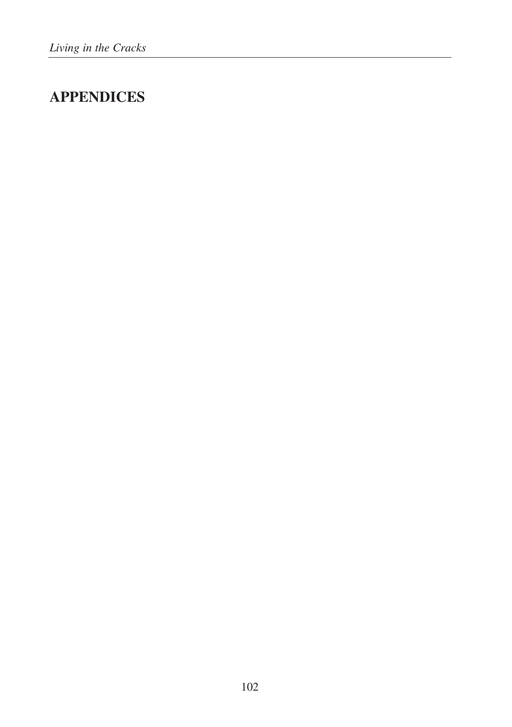# **APPENDICES**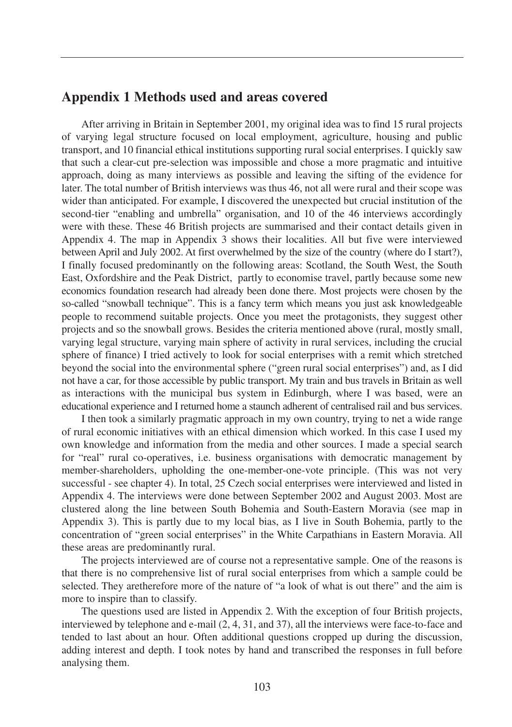# **Appendix 1 Methods used and areas covered**

After arriving in Britain in September 2001, my original idea was to find 15 rural projects of varying legal structure focused on local employment, agriculture, housing and public transport, and 10 financial ethical institutions supporting rural social enterprises. I quickly saw that such a clear-cut pre-selection was impossible and chose a more pragmatic and intuitive approach, doing as many interviews as possible and leaving the sifting of the evidence for later. The total number of British interviews was thus 46, not all were rural and their scope was wider than anticipated. For example, I discovered the unexpected but crucial institution of the second-tier "enabling and umbrella" organisation, and 10 of the 46 interviews accordingly were with these. These 46 British projects are summarised and their contact details given in Appendix 4. The map in Appendix 3 shows their localities. All but five were interviewed between April and July 2002. At first overwhelmed by the size of the country (where do I start?), I finally focused predominantly on the following areas: Scotland, the South West, the South East, Oxfordshire and the Peak District, partly to economise travel, partly because some new economics foundation research had already been done there. Most projects were chosen by the so-called "snowball technique". This is a fancy term which means you just ask knowledgeable people to recommend suitable projects. Once you meet the protagonists, they suggest other projects and so the snowball grows. Besides the criteria mentioned above (rural, mostly small, varying legal structure, varying main sphere of activity in rural services, including the crucial sphere of finance) I tried actively to look for social enterprises with a remit which stretched beyond the social into the environmental sphere ("green rural social enterprises") and, as I did not have a car, for those accessible by public transport. My train and bus travels in Britain as well as interactions with the municipal bus system in Edinburgh, where I was based, were an educational experience and I returned home a staunch adherent of centralised rail and bus services.

I then took a similarly pragmatic approach in my own country, trying to net a wide range of rural economic initiatives with an ethical dimension which worked. In this case I used my own knowledge and information from the media and other sources. I made a special search for "real" rural co-operatives, i.e. business organisations with democratic management by member-shareholders, upholding the one-member-one-vote principle. (This was not very successful - see chapter 4). In total, 25 Czech social enterprises were interviewed and listed in Appendix 4. The interviews were done between September 2002 and August 2003. Most are clustered along the line between South Bohemia and South-Eastern Moravia (see map in Appendix 3). This is partly due to my local bias, as I live in South Bohemia, partly to the concentration of "green social enterprises" in the White Carpathians in Eastern Moravia. All these areas are predominantly rural.

The projects interviewed are of course not a representative sample. One of the reasons is that there is no comprehensive list of rural social enterprises from which a sample could be selected. They aretherefore more of the nature of "a look of what is out there" and the aim is more to inspire than to classify.

The questions used are listed in Appendix 2. With the exception of four British projects, interviewed by telephone and e-mail (2, 4, 31, and 37), all the interviews were face-to-face and tended to last about an hour. Often additional questions cropped up during the discussion, adding interest and depth. I took notes by hand and transcribed the responses in full before analysing them.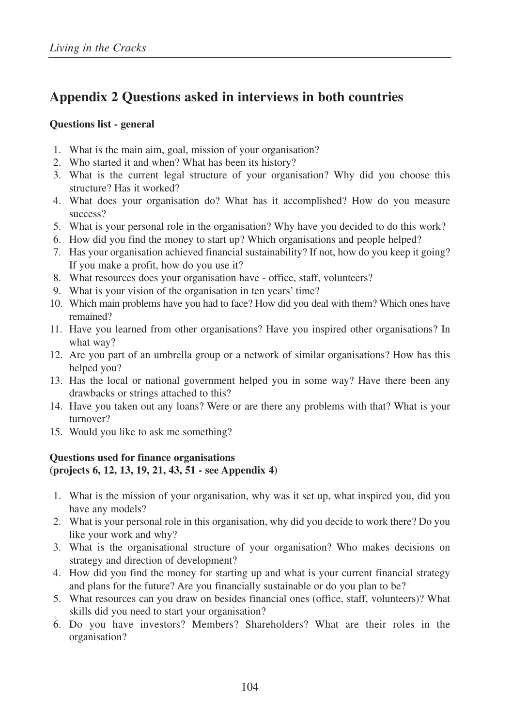# **Appendix 2 Questions asked in interviews in both countries**

# **Questions list - general**

- 1. What is the main aim, goal, mission of your organisation?
- 2. Who started it and when? What has been its history?
- 3. What is the current legal structure of your organisation? Why did you choose this structure? Has it worked?
- 4. What does your organisation do? What has it accomplished? How do you measure success?
- 5. What is your personal role in the organisation? Why have you decided to do this work?
- 6. How did you find the money to start up? Which organisations and people helped?
- 7. Has your organisation achieved financial sustainability? If not, how do you keep it going? If you make a profit, how do you use it?
- 8. What resources does your organisation have office, staff, volunteers?
- 9. What is your vision of the organisation in ten years' time?
- 10. Which main problems have you had to face? How did you deal with them? Which ones have remained?
- 11. Have you learned from other organisations? Have you inspired other organisations? In what way?
- 12. Are you part of an umbrella group or a network of similar organisations? How has this helped you?
- 13. Has the local or national government helped you in some way? Have there been any drawbacks or strings attached to this?
- 14. Have you taken out any loans? Were or are there any problems with that? What is your turnover?
- 15. Would you like to ask me something?

# **Questions used for finance organisations (projects 6, 12, 13, 19, 21, 43, 51 - see Appendix 4)**

- 1. What is the mission of your organisation, why was it set up, what inspired you, did you have any models?
- 2. What is your personal role in this organisation, why did you decide to work there? Do you like your work and why?
- 3. What is the organisational structure of your organisation? Who makes decisions on strategy and direction of development?
- 4. How did you find the money for starting up and what is your current financial strategy and plans for the future? Are you financially sustainable or do you plan to be?
- 5. What resources can you draw on besides financial ones (office, staff, volunteers)? What skills did you need to start your organisation?
- 6. Do you have investors? Members? Shareholders? What are their roles in the organisation?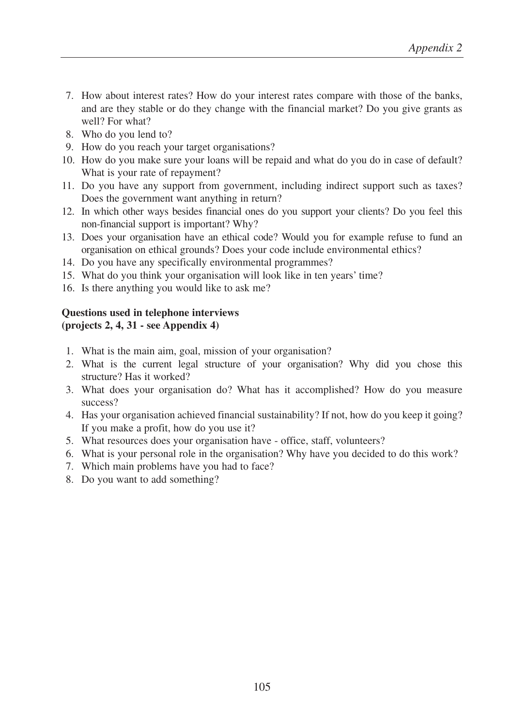- 7. How about interest rates? How do your interest rates compare with those of the banks, and are they stable or do they change with the financial market? Do you give grants as well? For what?
- 8. Who do you lend to?
- 9. How do you reach your target organisations?
- 10. How do you make sure your loans will be repaid and what do you do in case of default? What is your rate of repayment?
- 11. Do you have any support from government, including indirect support such as taxes? Does the government want anything in return?
- 12. In which other ways besides financial ones do you support your clients? Do you feel this non-financial support is important? Why?
- 13. Does your organisation have an ethical code? Would you for example refuse to fund an organisation on ethical grounds? Does your code include environmental ethics?
- 14. Do you have any specifically environmental programmes?
- 15. What do you think your organisation will look like in ten years' time?
- 16. Is there anything you would like to ask me?

# **Questions used in telephone interviews (projects 2, 4, 31 - see Appendix 4)**

- 1. What is the main aim, goal, mission of your organisation?
- 2. What is the current legal structure of your organisation? Why did you chose this structure? Has it worked?
- 3. What does your organisation do? What has it accomplished? How do you measure success?
- 4. Has your organisation achieved financial sustainability? If not, how do you keep it going? If you make a profit, how do you use it?
- 5. What resources does your organisation have office, staff, volunteers?
- 6. What is your personal role in the organisation? Why have you decided to do this work?
- 7. Which main problems have you had to face?
- 8. Do you want to add something?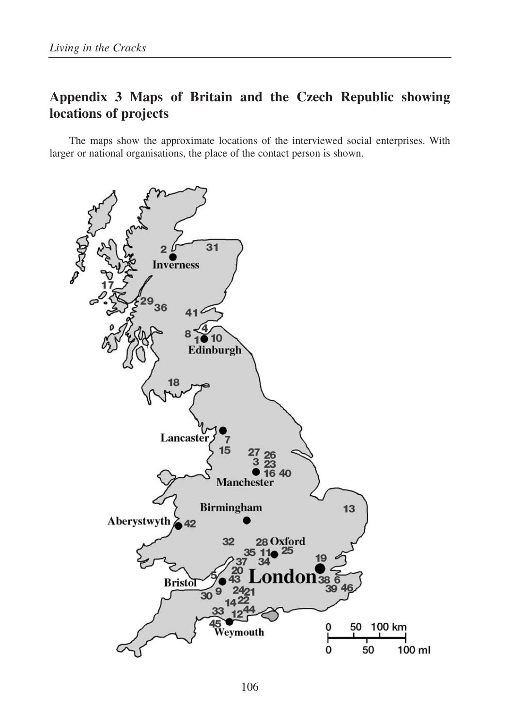# **Appendix 3 Maps of Britain and the Czech Republic showing locations of projects**

The maps show the approximate locations of the interviewed social enterprises. With larger or national organisations, the place of the contact person is shown.

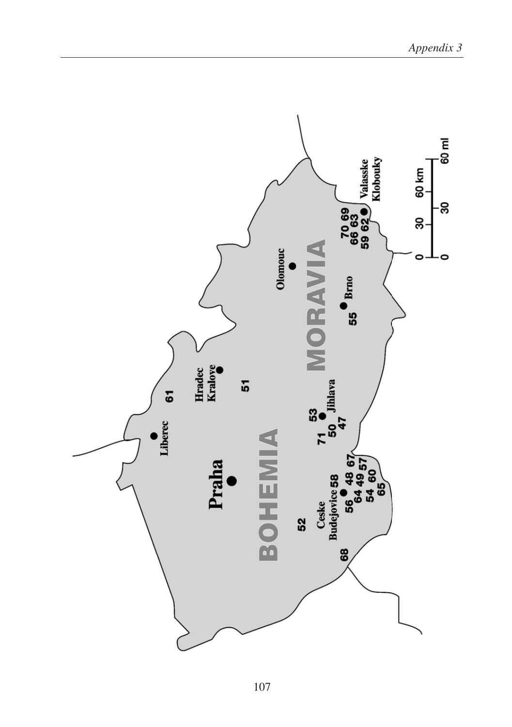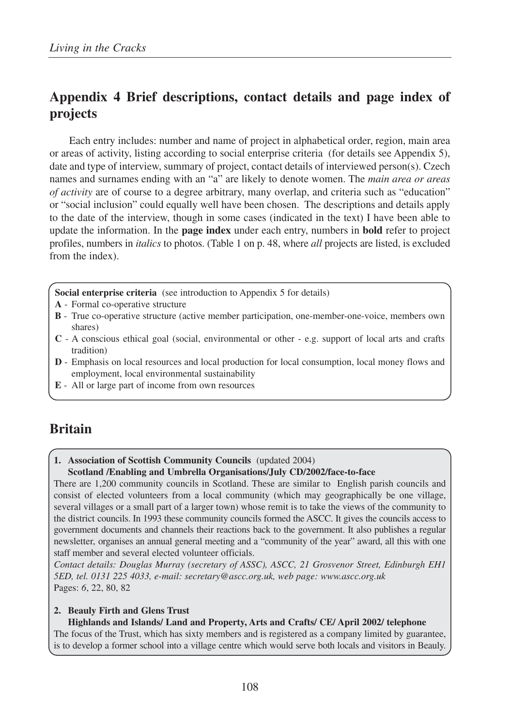# **Appendix 4 Brief descriptions, contact details and page index of projects**

Each entry includes: number and name of project in alphabetical order, region, main area or areas of activity, listing according to social enterprise criteria (for details see Appendix 5), date and type of interview, summary of project, contact details of interviewed person(s). Czech names and surnames ending with an "a" are likely to denote women. The *main area or areas of activity* are of course to a degree arbitrary, many overlap, and criteria such as "education" or "social inclusion" could equally well have been chosen. The descriptions and details apply to the date of the interview, though in some cases (indicated in the text) I have been able to update the information. In the **page index** under each entry, numbers in **bold** refer to project profiles, numbers in *italics* to photos. (Table 1 on p. 48, where *all* projects are listed, is excluded from the index).

**Social enterprise criteria** (see introduction to Appendix 5 for details)

- **A** Formal co-operative structure
- **B** True co-operative structure (active member participation, one-member-one-voice, members own shares)
- **C** A conscious ethical goal (social, environmental or other e.g. support of local arts and crafts tradition)
- **D** Emphasis on local resources and local production for local consumption, local money flows and employment, local environmental sustainability
- **E** All or large part of income from own resources

# **Britain**

#### **1. Association of Scottish Community Councils** (updated 2004) **Scotland /Enabling and Umbrella Organisations/July CD/2002/face-to-face**

There are 1,200 community councils in Scotland. These are similar to English parish councils and consist of elected volunteers from a local community (which may geographically be one village, several villages or a small part of a larger town) whose remit is to take the views of the community to the district councils. In 1993 these community councils formed the ASCC. It gives the councils access to government documents and channels their reactions back to the government. It also publishes a regular newsletter, organises an annual general meeting and a "community of the year" award, all this with one staff member and several elected volunteer officials.

*Contact details: Douglas Murray (secretary of ASSC), ASCC, 21 Grosvenor Street, Edinburgh EH1 5ED, tel. 0131 225 4033, e-mail: secretary@ascc.org.uk, web page: www.ascc.org.uk* Pages: *6*, 22, 80, 82

#### **2. Beauly Firth and Glens Trust**

#### **Highlands and Islands/ Land and Property, Arts and Crafts/ CE/ April 2002/ telephone**

The focus of the Trust, which has sixty members and is registered as a company limited by guarantee, is to develop a former school into a village centre which would serve both locals and visitors in Beauly.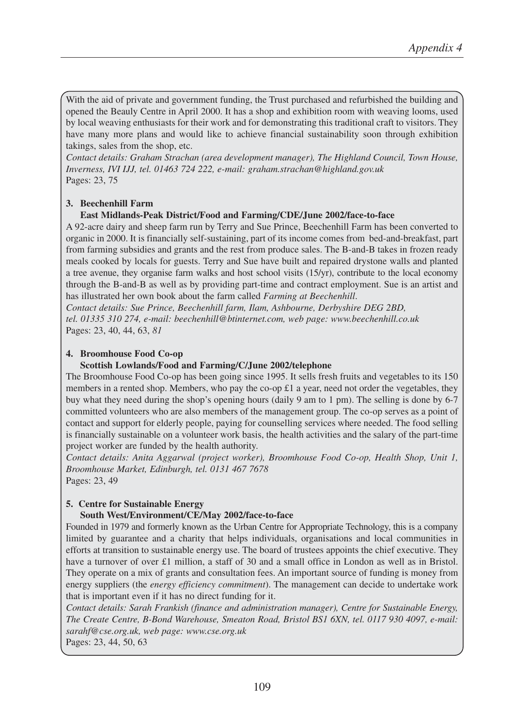With the aid of private and government funding, the Trust purchased and refurbished the building and opened the Beauly Centre in April 2000. It has a shop and exhibition room with weaving looms, used by local weaving enthusiasts for their work and for demonstrating this traditional craft to visitors. They have many more plans and would like to achieve financial sustainability soon through exhibition takings, sales from the shop, etc.

*Contact details: Graham Strachan (area development manager), The Highland Council, Town House, Inverness, IVI IJJ, tel. 01463 724 222, e-mail: graham.strachan@highland.gov.uk* Pages: 23, 75

## **3. Beechenhill Farm**

#### **East Midlands-Peak District/Food and Farming/CDE/June 2002/face-to-face**

A 92-acre dairy and sheep farm run by Terry and Sue Prince, Beechenhill Farm has been converted to organic in 2000. It is financially self-sustaining, part of its income comes from bed-and-breakfast, part from farming subsidies and grants and the rest from produce sales. The B-and-B takes in frozen ready meals cooked by locals for guests. Terry and Sue have built and repaired drystone walls and planted a tree avenue, they organise farm walks and host school visits (15/yr), contribute to the local economy through the B-and-B as well as by providing part-time and contract employment. Sue is an artist and has illustrated her own book about the farm called *Farming at Beechenhill*.

*Contact details: Sue Prince, Beechenhill farm, Ilam, Ashbourne, Derbyshire DEG 2BD, tel. 01335 310 274, e-mail: beechenhill@btinternet.com, web page: www.beechenhill.co.uk* Pages: 23, 40, 44, 63, *81*

#### **4. Broomhouse Food Co-op**

#### **Scottish Lowlands/Food and Farming/C/June 2002/telephone**

The Broomhouse Food Co-op has been going since 1995. It sells fresh fruits and vegetables to its 150 members in a rented shop. Members, who pay the co-op £1 a year, need not order the vegetables, they buy what they need during the shop's opening hours (daily 9 am to 1 pm). The selling is done by 6-7 committed volunteers who are also members of the management group. The co-op serves as a point of contact and support for elderly people, paying for counselling services where needed. The food selling is financially sustainable on a volunteer work basis, the health activities and the salary of the part-time project worker are funded by the health authority.

*Contact details: Anita Aggarwal (project worker), Broomhouse Food Co-op, Health Shop, Unit 1, Broomhouse Market, Edinburgh, tel. 0131 467 7678* Pages: 23, 49

#### **5. Centre for Sustainable Energy**

#### **South West/Environment/CE/May 2002/face-to-face**

Founded in 1979 and formerly known as the Urban Centre for Appropriate Technology, this is a company limited by guarantee and a charity that helps individuals, organisations and local communities in efforts at transition to sustainable energy use. The board of trustees appoints the chief executive. They have a turnover of over £1 million, a staff of 30 and a small office in London as well as in Bristol. They operate on a mix of grants and consultation fees. An important source of funding is money from energy suppliers (the *energy efficiency commitment*). The management can decide to undertake work that is important even if it has no direct funding for it.

*Contact details: Sarah Frankish (finance and administration manager), Centre for Sustainable Energy, The Create Centre, B-Bond Warehouse, Smeaton Road, Bristol BS1 6XN, tel. 0117 930 4097, e-mail: sarahf@cse.org.uk, web page: www.cse.org.uk*

Pages: 23, 44, 50, 63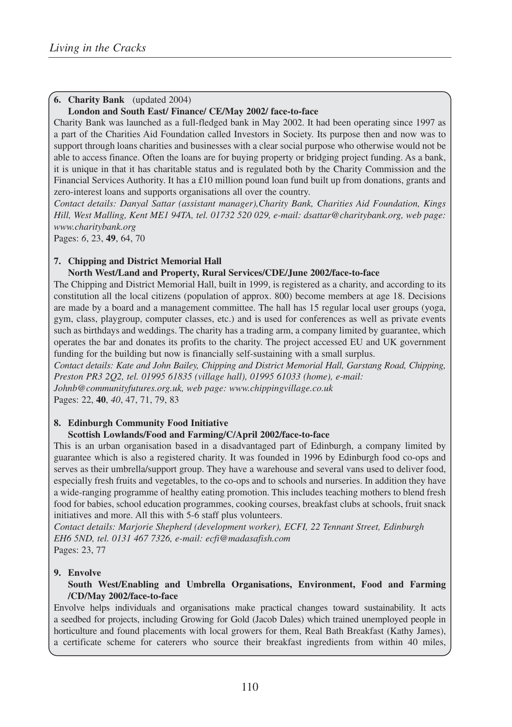# **6. Charity Bank** (updated 2004)

#### **London and South East/ Finance/ CE/May 2002/ face-to-face**

Charity Bank was launched as a full-fledged bank in May 2002. It had been operating since 1997 as a part of the Charities Aid Foundation called Investors in Society. Its purpose then and now was to support through loans charities and businesses with a clear social purpose who otherwise would not be able to access finance. Often the loans are for buying property or bridging project funding. As a bank, it is unique in that it has charitable status and is regulated both by the Charity Commission and the Financial Services Authority. It has a £10 million pound loan fund built up from donations, grants and zero-interest loans and supports organisations all over the country.

*Contact details: Danyal Sattar (assistant manager),Charity Bank, Charities Aid Foundation, Kings Hill, West Malling, Kent ME1 94TA, tel. 01732 520 029, e-mail: dsattar@charitybank.org, web page: www.charitybank.org*

Pages: *6*, 23, **49**, 64, 70

# **7. Chipping and District Memorial Hall**

# **North West/Land and Property, Rural Services/CDE/June 2002/face-to-face**

The Chipping and District Memorial Hall, built in 1999, is registered as a charity, and according to its constitution all the local citizens (population of approx. 800) become members at age 18. Decisions are made by a board and a management committee. The hall has 15 regular local user groups (yoga, gym, class, playgroup, computer classes, etc.) and is used for conferences as well as private events such as birthdays and weddings. The charity has a trading arm, a company limited by guarantee, which operates the bar and donates its profits to the charity. The project accessed EU and UK government funding for the building but now is financially self-sustaining with a small surplus.

*Contact details: Kate and John Bailey, Chipping and District Memorial Hall, Garstang Road, Chipping, Preston PR3 2Q2, tel. 01995 61835 (village hall), 01995 61033 (home), e-mail: Johnb@communityfutures.org.uk, web page: www.chippingvillage.co.uk*

Pages: 22, **40**, *40*, 47, 71, 79, 83

#### **8. Edinburgh Community Food Initiative**

#### **Scottish Lowlands/Food and Farming/C/April 2002/face-to-face**

This is an urban organisation based in a disadvantaged part of Edinburgh, a company limited by guarantee which is also a registered charity. It was founded in 1996 by Edinburgh food co-ops and serves as their umbrella/support group. They have a warehouse and several vans used to deliver food, especially fresh fruits and vegetables, to the co-ops and to schools and nurseries. In addition they have a wide-ranging programme of healthy eating promotion. This includes teaching mothers to blend fresh food for babies, school education programmes, cooking courses, breakfast clubs at schools, fruit snack initiatives and more. All this with 5-6 staff plus volunteers.

*Contact details: Marjorie Shepherd (development worker), ECFI, 22 Tennant Street, Edinburgh EH6 5ND, tel. 0131 467 7326, e-mail: ecfi@madasafish.com* Pages: 23, 77

#### **9. Envolve**

#### **South West/Enabling and Umbrella Organisations, Environment, Food and Farming /CD/May 2002/face-to-face**

Envolve helps individuals and organisations make practical changes toward sustainability. It acts a seedbed for projects, including Growing for Gold (Jacob Dales) which trained unemployed people in horticulture and found placements with local growers for them, Real Bath Breakfast (Kathy James), a certificate scheme for caterers who source their breakfast ingredients from within 40 miles,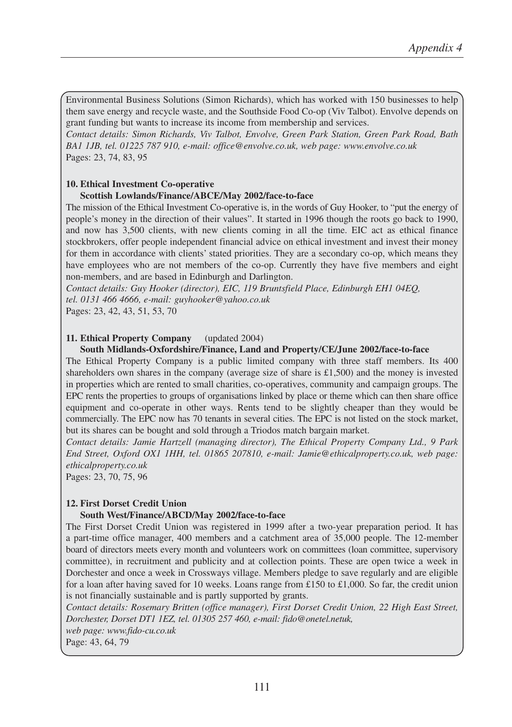Environmental Business Solutions (Simon Richards), which has worked with 150 businesses to help them save energy and recycle waste, and the Southside Food Co-op (Viv Talbot). Envolve depends on grant funding but wants to increase its income from membership and services.

*Contact details: Simon Richards, Viv Talbot, Envolve, Green Park Station, Green Park Road, Bath BA1 1JB, tel. 01225 787 910, e-mail: office@envolve.co.uk, web page: www.envolve.co.uk* Pages: 23, 74, 83, 95

## **10. Ethical Investment Co-operative**

#### **Scottish Lowlands/Finance/ABCE/May 2002/face-to-face**

The mission of the Ethical Investment Co-operative is, in the words of Guy Hooker, to "put the energy of people's money in the direction of their values". It started in 1996 though the roots go back to 1990, and now has 3,500 clients, with new clients coming in all the time. EIC act as ethical finance stockbrokers, offer people independent financial advice on ethical investment and invest their money for them in accordance with clients' stated priorities. They are a secondary co-op, which means they have employees who are not members of the co-op. Currently they have five members and eight non-members, and are based in Edinburgh and Darlington.

*Contact details: Guy Hooker (director), EIC, 119 Bruntsfield Place, Edinburgh EH1 04EQ, tel. 0131 466 4666, e-mail: guyhooker@yahoo.co.uk*

Pages: 23, 42, 43, 51, 53, 70

#### **11. Ethical Property Company** (updated 2004)

#### **South Midlands-Oxfordshire/Finance, Land and Property/CE/June 2002/face-to-face**

The Ethical Property Company is a public limited company with three staff members. Its 400 shareholders own shares in the company (average size of share is  $\pounds1,500$ ) and the money is invested in properties which are rented to small charities, co-operatives, community and campaign groups. The EPC rents the properties to groups of organisations linked by place or theme which can then share office equipment and co-operate in other ways. Rents tend to be slightly cheaper than they would be commercially. The EPC now has 70 tenants in several cities. The EPC is not listed on the stock market, but its shares can be bought and sold through a Triodos match bargain market.

*Contact details: Jamie Hartzell (managing director), The Ethical Property Company Ltd., 9 Park End Street, Oxford OX1 1HH, tel. 01865 207810, e-mail: Jamie@ethicalproperty.co.uk, web page: ethicalproperty.co.uk*

Pages: 23, 70, 75, 96

#### **12. First Dorset Credit Union**

#### **South West/Finance/ABCD/May 2002/face-to-face**

The First Dorset Credit Union was registered in 1999 after a two-year preparation period. It has a part-time office manager, 400 members and a catchment area of 35,000 people. The 12-member board of directors meets every month and volunteers work on committees (loan committee, supervisory committee), in recruitment and publicity and at collection points. These are open twice a week in Dorchester and once a week in Crossways village. Members pledge to save regularly and are eligible for a loan after having saved for 10 weeks. Loans range from £150 to £1,000. So far, the credit union is not financially sustainable and is partly supported by grants.

*Contact details: Rosemary Britten (office manager), First Dorset Credit Union, 22 High East Street, Dorchester, Dorset DT1 1EZ, tel. 01305 257 460, e-mail: fido@onetel.netuk,* 

*web page: www.fido-cu.co.uk*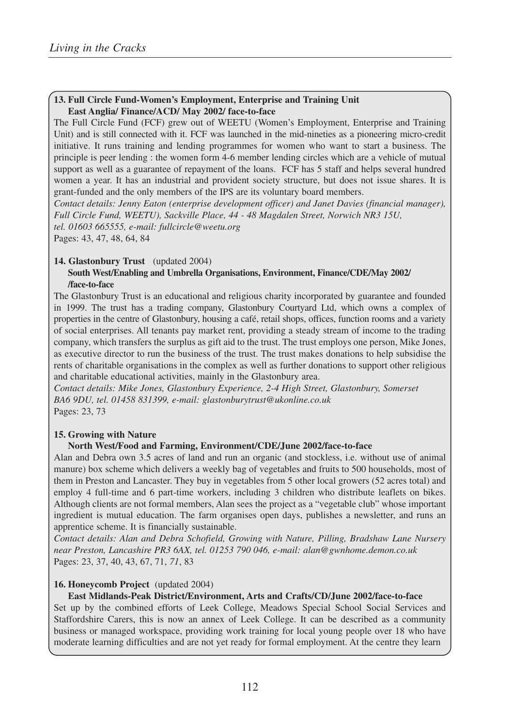## **13. Full Circle Fund-Women's Employment, Enterprise and Training Unit East Anglia/ Finance/ACD/ May 2002/ face-to-face**

The Full Circle Fund (FCF) grew out of WEETU (Women's Employment, Enterprise and Training Unit) and is still connected with it. FCF was launched in the mid-nineties as a pioneering micro-credit initiative. It runs training and lending programmes for women who want to start a business. The principle is peer lending : the women form 4-6 member lending circles which are a vehicle of mutual support as well as a guarantee of repayment of the loans. FCF has 5 staff and helps several hundred women a year. It has an industrial and provident society structure, but does not issue shares. It is grant-funded and the only members of the IPS are its voluntary board members.

*Contact details: Jenny Eaton (enterprise development officer) and Janet Davies (financial manager), Full Circle Fund, WEETU), Sackville Place, 44 - 48 Magdalen Street, Norwich NR3 15U, tel. 01603 665555, e-mail: fullcircle@weetu.org* Pages: 43, 47, 48, 64, 84

#### **14. Glastonbury Trust** (updated 2004)

#### **South West/Enabling and Umbrella Organisations, Environment, Finance/CDE/May 2002/ /face-to-face**

The Glastonbury Trust is an educational and religious charity incorporated by guarantee and founded in 1999. The trust has a trading company, Glastonbury Courtyard Ltd, which owns a complex of properties in the centre of Glastonbury, housing a café, retail shops, offices, function rooms and a variety of social enterprises. All tenants pay market rent, providing a steady stream of income to the trading company, which transfers the surplus as gift aid to the trust. The trust employs one person, Mike Jones, as executive director to run the business of the trust. The trust makes donations to help subsidise the rents of charitable organisations in the complex as well as further donations to support other religious and charitable educational activities, mainly in the Glastonbury area.

*Contact details: Mike Jones, Glastonbury Experience, 2-4 High Street, Glastonbury, Somerset BA6 9DU, tel. 01458 831399, e-mail: glastonburytrust@ukonline.co.uk*  Pages: 23, 73

#### **15. Growing with Nature**

#### **North West/Food and Farming, Environment/CDE/June 2002/face-to-face**

Alan and Debra own 3.5 acres of land and run an organic (and stockless, i.e. without use of animal manure) box scheme which delivers a weekly bag of vegetables and fruits to 500 households, most of them in Preston and Lancaster. They buy in vegetables from 5 other local growers (52 acres total) and employ 4 full-time and 6 part-time workers, including 3 children who distribute leaflets on bikes. Although clients are not formal members, Alan sees the project as a "vegetable club" whose important ingredient is mutual education. The farm organises open days, publishes a newsletter, and runs an apprentice scheme. It is financially sustainable.

*Contact details: Alan and Debra Schofield, Growing with Nature, Pilling, Bradshaw Lane Nursery near Preston, Lancashire PR3 6AX, tel. 01253 790 046, e-mail: alan@gwnhome.demon.co.uk* Pages: 23, 37, 40, 43, 67, 71, *71*, 83

#### **16. Honeycomb Project** (updated 2004)

#### **East Midlands-Peak District/Environment, Arts and Crafts/CD/June 2002/face-to-face**

Set up by the combined efforts of Leek College, Meadows Special School Social Services and Staffordshire Carers, this is now an annex of Leek College. It can be described as a community business or managed workspace, providing work training for local young people over 18 who have moderate learning difficulties and are not yet ready for formal employment. At the centre they learn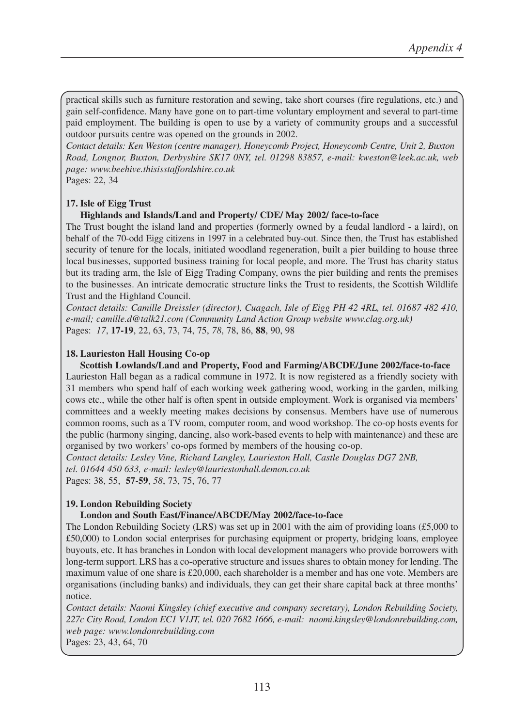practical skills such as furniture restoration and sewing, take short courses (fire regulations, etc.) and gain self-confidence. Many have gone on to part-time voluntary employment and several to part-time paid employment. The building is open to use by a variety of community groups and a successful outdoor pursuits centre was opened on the grounds in 2002.

*Contact details: Ken Weston (centre manager), Honeycomb Project, Honeycomb Centre, Unit 2, Buxton Road, Longnor, Buxton, Derbyshire SK17 0NY, tel. 01298 83857, e-mail: kweston@leek.ac.uk, web page: www.beehive.thisisstaffordshire.co.uk* Pages: 22, 34

**17. Isle of Eigg Trust**

## **Highlands and Islands/Land and Property/ CDE/ May 2002/ face-to-face**

The Trust bought the island land and properties (formerly owned by a feudal landlord - a laird), on behalf of the 70-odd Eigg citizens in 1997 in a celebrated buy-out. Since then, the Trust has established security of tenure for the locals, initiated woodland regeneration, built a pier building to house three local businesses, supported business training for local people, and more. The Trust has charity status but its trading arm, the Isle of Eigg Trading Company, owns the pier building and rents the premises to the businesses. An intricate democratic structure links the Trust to residents, the Scottish Wildlife Trust and the Highland Council.

*Contact details: Camille Dreissler (director), Cuagach, Isle of Eigg PH 42 4RL, tel. 01687 482 410, e-mail; camille.d@talk21.com (Community Land Action Group website www.clag.org.uk)* Pages: *17*, **17-19**, 22, 63, 73, 74, 75, *78*, 78, 86, **88**, 90, 98

#### **18. Laurieston Hall Housing Co-op**

**Scottish Lowlands/Land and Property, Food and Farming/ABCDE/June 2002/face-to-face** Laurieston Hall began as a radical commune in 1972. It is now registered as a friendly society with 31 members who spend half of each working week gathering wood, working in the garden, milking cows etc., while the other half is often spent in outside employment. Work is organised via members' committees and a weekly meeting makes decisions by consensus. Members have use of numerous common rooms, such as a TV room, computer room, and wood workshop. The co-op hosts events for the public (harmony singing, dancing, also work-based events to help with maintenance) and these are organised by two workers' co-ops formed by members of the housing co-op.

*Contact details: Lesley Vine, Richard Langley, Laurieston Hall, Castle Douglas DG7 2NB, tel. 01644 450 633, e-mail: lesley@lauriestonhall.demon.co.uk* Pages: 38, 55, **57-59**, *58*, 73, 75, 76, 77

#### **19. London Rebuilding Society**

#### **London and South East/Finance/ABCDE/May 2002/face-to-face**

The London Rebuilding Society (LRS) was set up in 2001 with the aim of providing loans (£5,000 to £50,000) to London social enterprises for purchasing equipment or property, bridging loans, employee buyouts, etc. It has branches in London with local development managers who provide borrowers with long-term support. LRS has a co-operative structure and issues shares to obtain money for lending. The maximum value of one share is £20,000, each shareholder is a member and has one vote. Members are organisations (including banks) and individuals, they can get their share capital back at three months' notice.

*Contact details: Naomi Kingsley (chief executive and company secretary), London Rebuilding Society, 227c City Road, London EC1 V1JT, tel. 020 7682 1666, e-mail: naomi.kingsley@londonrebuilding.com, web page: www.londonrebuilding.com* 

Pages: 23, 43, 64, 70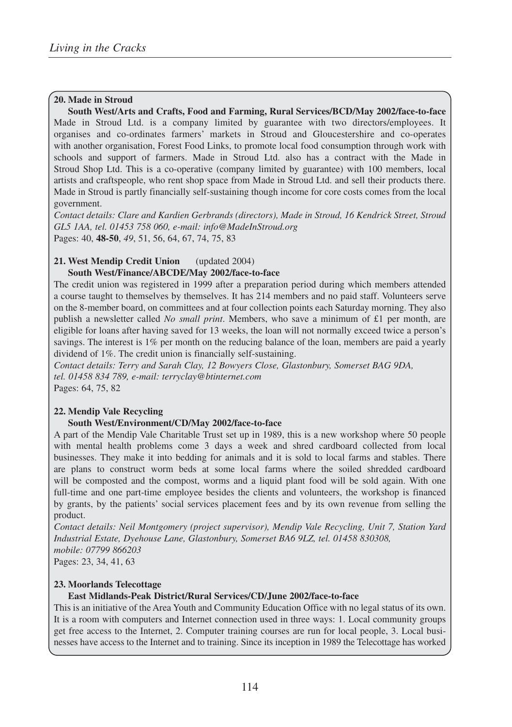#### **20. Made in Stroud**

**South West/Arts and Crafts, Food and Farming, Rural Services/BCD/May 2002/face-to-face** Made in Stroud Ltd. is a company limited by guarantee with two directors/employees. It organises and co-ordinates farmers' markets in Stroud and Gloucestershire and co-operates with another organisation, Forest Food Links, to promote local food consumption through work with schools and support of farmers. Made in Stroud Ltd. also has a contract with the Made in Stroud Shop Ltd. This is a co-operative (company limited by guarantee) with 100 members, local artists and craftspeople, who rent shop space from Made in Stroud Ltd. and sell their products there. Made in Stroud is partly financially self-sustaining though income for core costs comes from the local government.

*Contact details: Clare and Kardien Gerbrands (directors), Made in Stroud, 16 Kendrick Street, Stroud GL5 1AA, tel. 01453 758 060, e-mail: info@MadeInStroud.org* Pages: 40, **48-50**, *49*, 51, 56, 64, 67, 74, 75, 83

# **21. West Mendip Credit Union** (updated 2004)

## **South West/Finance/ABCDE/May 2002/face-to-face**

The credit union was registered in 1999 after a preparation period during which members attended a course taught to themselves by themselves. It has 214 members and no paid staff. Volunteers serve on the 8-member board, on committees and at four collection points each Saturday morning. They also publish a newsletter called *No small print*. Members, who save a minimum of £1 per month, are eligible for loans after having saved for 13 weeks, the loan will not normally exceed twice a person's savings. The interest is 1% per month on the reducing balance of the loan, members are paid a yearly dividend of 1%. The credit union is financially self-sustaining.

*Contact details: Terry and Sarah Clay, 12 Bowyers Close, Glastonbury, Somerset BAG 9DA, tel. 01458 834 789, e-mail: terryclay@btinternet.com* Pages: 64, 75, 82

# **22. Mendip Vale Recycling**

# **South West/Environment/CD/May 2002/face-to-face**

A part of the Mendip Vale Charitable Trust set up in 1989, this is a new workshop where 50 people with mental health problems come 3 days a week and shred cardboard collected from local businesses. They make it into bedding for animals and it is sold to local farms and stables. There are plans to construct worm beds at some local farms where the soiled shredded cardboard will be composted and the compost, worms and a liquid plant food will be sold again. With one full-time and one part-time employee besides the clients and volunteers, the workshop is financed by grants, by the patients' social services placement fees and by its own revenue from selling the product.

*Contact details: Neil Montgomery (project supervisor), Mendip Vale Recycling, Unit 7, Station Yard Industrial Estate, Dyehouse Lane, Glastonbury, Somerset BA6 9LZ, tel. 01458 830308, mobile: 07799 866203*

Pages: 23, 34, 41, 63

#### **23. Moorlands Telecottage**

#### **East Midlands-Peak District/Rural Services/CD/June 2002/face-to-face**

This is an initiative of the Area Youth and Community Education Office with no legal status of its own. It is a room with computers and Internet connection used in three ways: 1. Local community groups get free access to the Internet, 2. Computer training courses are run for local people, 3. Local businesses have access to the Internet and to training. Since its inception in 1989 the Telecottage has worked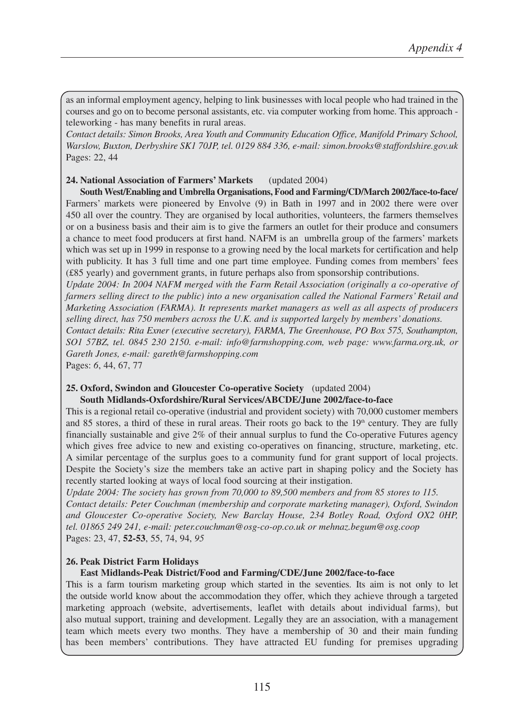as an informal employment agency, helping to link businesses with local people who had trained in the courses and go on to become personal assistants, etc. via computer working from home. This approach teleworking - has many benefits in rural areas.

*Contact details: Simon Brooks, Area Youth and Community Education Office, Manifold Primary School, Warslow, Buxton, Derbyshire SK1 70JP, tel. 0129 884 336, e-mail: simon.brooks@staffordshire.gov.uk* Pages: 22, 44

#### **24. National Association of Farmers' Markets** (updated 2004)

**South West/Enabling and Umbrella Organisations, Food and Farming/CD/March 2002/face-to-face/** Farmers' markets were pioneered by Envolve (9) in Bath in 1997 and in 2002 there were over 450 all over the country. They are organised by local authorities, volunteers, the farmers themselves or on a business basis and their aim is to give the farmers an outlet for their produce and consumers a chance to meet food producers at first hand. NAFM is an umbrella group of the farmers' markets which was set up in 1999 in response to a growing need by the local markets for certification and help with publicity. It has 3 full time and one part time employee. Funding comes from members' fees (£85 yearly) and government grants, in future perhaps also from sponsorship contributions.

*Update 2004: In 2004 NAFM merged with the Farm Retail Association (originally a co-operative of farmers selling direct to the public) into a new organisation called the National Farmers' Retail and Marketing Association (FARMA). It represents market managers as well as all aspects of producers selling direct, has 750 members across the U.K. and is supported largely by members' donations.* 

*Contact details: Rita Exner (executive secretary), FARMA, The Greenhouse, PO Box 575, Southampton, SO1 57BZ, tel. 0845 230 2150. e-mail: info@farmshopping.com, web page: www.farma.org.uk, or Gareth Jones, e-mail: gareth@farmshopping.com*

Pages: *6*, 44, 67, 77

#### **25. Oxford, Swindon and Gloucester Co-operative Society** (updated 2004)

#### **South Midlands-Oxfordshire/Rural Services/ABCDE/June 2002/face-to-face**

This is a regional retail co-operative (industrial and provident society) with 70,000 customer members and 85 stores, a third of these in rural areas. Their roots go back to the  $19<sup>th</sup>$  century. They are fully financially sustainable and give 2% of their annual surplus to fund the Co-operative Futures agency which gives free advice to new and existing co-operatives on financing, structure, marketing, etc. A similar percentage of the surplus goes to a community fund for grant support of local projects. Despite the Society's size the members take an active part in shaping policy and the Society has recently started looking at ways of local food sourcing at their instigation.

*Update 2004: The society has grown from 70,000 to 89,500 members and from 85 stores to 115. Contact details: Peter Couchman (membership and corporate marketing manager), Oxford, Swindon and Gloucester Co-operative Society, New Barclay House, 234 Botley Road, Oxford OX2 0HP, tel. 01865 249 241, e-mail: peter.couchman@osg-co-op.co.uk or mehnaz.begum@osg.coop* Pages: 23, 47, **52-53**, 55, 74, 94, *95* 

#### **26. Peak District Farm Holidays**

#### **East Midlands-Peak District/Food and Farming/CDE/June 2002/face-to-face**

This is a farm tourism marketing group which started in the seventies. Its aim is not only to let the outside world know about the accommodation they offer, which they achieve through a targeted marketing approach (website, advertisements, leaflet with details about individual farms), but also mutual support, training and development. Legally they are an association, with a management team which meets every two months. They have a membership of 30 and their main funding has been members' contributions. They have attracted EU funding for premises upgrading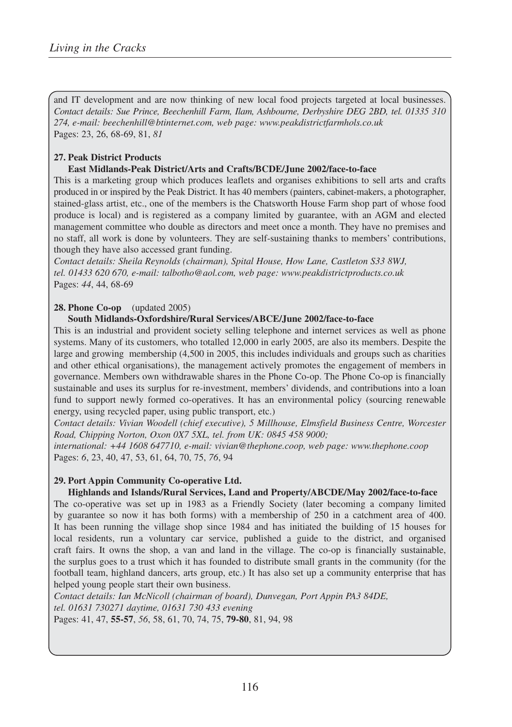and IT development and are now thinking of new local food projects targeted at local businesses. *Contact details: Sue Prince, Beechenhill Farm, Ilam, Ashbourne, Derbyshire DEG 2BD, tel. 01335 310 274, e-mail: beechenhill@btinternet.com, web page: www.peakdistrictfarmhols.co.uk*  Pages: 23, 26, 68-69, 81, *81*

# **27. Peak District Products**

## **East Midlands-Peak District/Arts and Crafts/BCDE/June 2002/face-to-face**

This is a marketing group which produces leaflets and organises exhibitions to sell arts and crafts produced in or inspired by the Peak District. It has 40 members (painters, cabinet-makers, a photographer, stained-glass artist, etc., one of the members is the Chatsworth House Farm shop part of whose food produce is local) and is registered as a company limited by guarantee, with an AGM and elected management committee who double as directors and meet once a month. They have no premises and no staff, all work is done by volunteers. They are self-sustaining thanks to members' contributions, though they have also accessed grant funding.

*Contact details: Sheila Reynolds (chairman), Spital House, How Lane, Castleton S33 8WJ, tel. 01433 620 670, e-mail: talbotho@aol.com, web page: www.peakdistrictproducts.co.uk* Pages: *44*, 44, 68-69

## **28. Phone Co-op** (updated 2005)

## **South Midlands-Oxfordshire/Rural Services/ABCE/June 2002/face-to-face**

This is an industrial and provident society selling telephone and internet services as well as phone systems. Many of its customers, who totalled 12,000 in early 2005, are also its members. Despite the large and growing membership (4,500 in 2005, this includes individuals and groups such as charities and other ethical organisations), the management actively promotes the engagement of members in governance. Members own withdrawable shares in the Phone Co-op. The Phone Co-op is financially sustainable and uses its surplus for re-investment, members' dividends, and contributions into a loan fund to support newly formed co-operatives. It has an environmental policy (sourcing renewable energy, using recycled paper, using public transport, etc.)

*Contact details: Vivian Woodell (chief executive), 5 Millhouse, Elmsfield Business Centre, Worcester Road, Chipping Norton, Oxon 0X7 5XL, tel. from UK: 0845 458 9000;* 

*international: +44 1608 647710, e-mail: vivian@thephone.coop, web page: www.thephone.coop* Pages: *6*, 23, 40, 47, 53, 61, 64, 70, 75, *76*, 94

# **29. Port Appin Community Co-operative Ltd.**

**Highlands and Islands/Rural Services, Land and Property/ABCDE/May 2002/face-to-face** The co-operative was set up in 1983 as a Friendly Society (later becoming a company limited by guarantee so now it has both forms) with a membership of 250 in a catchment area of 400. It has been running the village shop since 1984 and has initiated the building of 15 houses for local residents, run a voluntary car service, published a guide to the district, and organised craft fairs. It owns the shop, a van and land in the village. The co-op is financially sustainable, the surplus goes to a trust which it has founded to distribute small grants in the community (for the football team, highland dancers, arts group, etc.) It has also set up a community enterprise that has helped young people start their own business.

*Contact details: Ian McNicoll (chairman of board), Dunvegan, Port Appin PA3 84DE, tel. 01631 730271 daytime, 01631 730 433 evening* Pages: 41, 47, **55-57**, *56*, 58, 61, 70, 74, 75, **79-80**, 81, 94, 98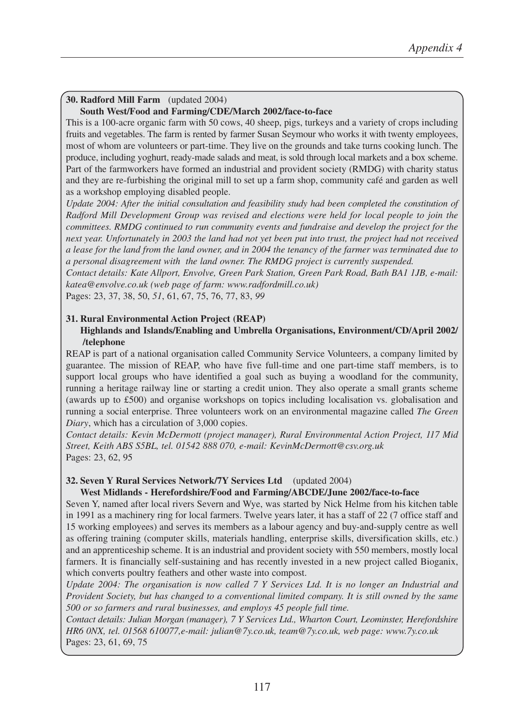# **30. Radford Mill Farm** (updated 2004)

## **South West/Food and Farming/CDE/March 2002/face-to-face**

This is a 100-acre organic farm with 50 cows, 40 sheep, pigs, turkeys and a variety of crops including fruits and vegetables. The farm is rented by farmer Susan Seymour who works it with twenty employees, most of whom are volunteers or part-time. They live on the grounds and take turns cooking lunch. The produce, including yoghurt, ready-made salads and meat, is sold through local markets and a box scheme. Part of the farmworkers have formed an industrial and provident society (RMDG) with charity status and they are re-furbishing the original mill to set up a farm shop, community café and garden as well as a workshop employing disabled people.

*Update 2004: After the initial consultation and feasibility study had been completed the constitution of Radford Mill Development Group was revised and elections were held for local people to join the committees. RMDG continued to run community events and fundraise and develop the project for the next year. Unfortunately in 2003 the land had not yet been put into trust, the project had not received a lease for the land from the land owner, and in 2004 the tenancy of the farmer was terminated due to a personal disagreement with the land owner. The RMDG project is currently suspended.*

*Contact details: Kate Allport, Envolve, Green Park Station, Green Park Road, Bath BA1 1JB, e-mail: katea@envolve.co.uk (web page of farm: www.radfordmill.co.uk)*

Pages: 23, 37, 38, 50, *51*, 61, 67, 75, 76, 77, 83, *99*

#### **31. Rural Environmental Action Project (REAP) Highlands and Islands/Enabling and Umbrella Organisations, Environment/CD/April 2002/ /telephone**

REAP is part of a national organisation called Community Service Volunteers, a company limited by guarantee. The mission of REAP, who have five full-time and one part-time staff members, is to support local groups who have identified a goal such as buying a woodland for the community, running a heritage railway line or starting a credit union. They also operate a small grants scheme (awards up to £500) and organise workshops on topics including localisation vs. globalisation and running a social enterprise. Three volunteers work on an environmental magazine called *The Green Diary*, which has a circulation of 3,000 copies.

*Contact details: Kevin McDermott (project manager), Rural Environmental Action Project, 117 Mid Street, Keith ABS S5BL, tel. 01542 888 070, e-mail: KevinMcDermott@csv.org.uk* Pages: 23, 62, 95

# **32. Seven Y Rural Services Network/7Y Services Ltd** (updated 2004)

#### **West Midlands - Herefordshire/Food and Farming/ABCDE/June 2002/face-to-face**

Seven Y, named after local rivers Severn and Wye, was started by Nick Helme from his kitchen table in 1991 as a machinery ring for local farmers. Twelve years later, it has a staff of 22 (7 office staff and 15 working employees) and serves its members as a labour agency and buy-and-supply centre as well as offering training (computer skills, materials handling, enterprise skills, diversification skills, etc.) and an apprenticeship scheme. It is an industrial and provident society with 550 members, mostly local farmers. It is financially self-sustaining and has recently invested in a new project called Bioganix, which converts poultry feathers and other waste into compost.

*Update 2004: The organisation is now called 7 Y Services Ltd. It is no longer an Industrial and Provident Society, but has changed to a conventional limited company. It is still owned by the same 500 or so farmers and rural businesses, and employs 45 people full time.* 

*Contact details: Julian Morgan (manager), 7 Y Services Ltd., Wharton Court, Leominster, Herefordshire HR6 0NX, tel. 01568 610077,e-mail: julian@7y.co.uk, team@7y.co.uk, web page: www.7y.co.uk*  Pages: 23, 61, 69, 75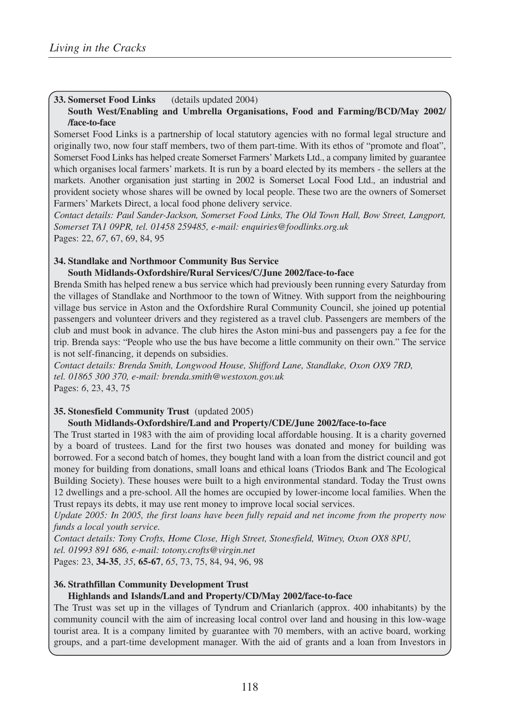## **33. Somerset Food Links** (details updated 2004)

#### **South West/Enabling and Umbrella Organisations, Food and Farming/BCD/May 2002/ /face-to-face**

Somerset Food Links is a partnership of local statutory agencies with no formal legal structure and originally two, now four staff members, two of them part-time. With its ethos of "promote and float", Somerset Food Links has helped create Somerset Farmers' Markets Ltd., a company limited by guarantee which organises local farmers' markets. It is run by a board elected by its members - the sellers at the markets. Another organisation just starting in 2002 is Somerset Local Food Ltd., an industrial and provident society whose shares will be owned by local people. These two are the owners of Somerset Farmers' Markets Direct, a local food phone delivery service.

*Contact details: Paul Sander-Jackson, Somerset Food Links, The Old Town Hall, Bow Street, Langport, Somerset TA1 09PR, tel. 01458 259485, e-mail: enquiries@foodlinks.org.uk* Pages: 22, *67*, 67, 69, 84, 95

#### **34. Standlake and Northmoor Community Bus Service**

#### **South Midlands-Oxfordshire/Rural Services/C/June 2002/face-to-face**

Brenda Smith has helped renew a bus service which had previously been running every Saturday from the villages of Standlake and Northmoor to the town of Witney. With support from the neighbouring village bus service in Aston and the Oxfordshire Rural Community Council, she joined up potential passengers and volunteer drivers and they registered as a travel club. Passengers are members of the club and must book in advance. The club hires the Aston mini-bus and passengers pay a fee for the trip. Brenda says: "People who use the bus have become a little community on their own." The service is not self-financing, it depends on subsidies.

*Contact details: Brenda Smith, Longwood House, Shifford Lane, Standlake, Oxon OX9 7RD, tel. 01865 300 370, e-mail: brenda.smith@westoxon.gov.uk* Pages: *6*, 23, 43, 75

#### **35. Stonesfield Community Trust** (updated 2005)

#### **South Midlands-Oxfordshire/Land and Property/CDE/June 2002/face-to-face**

The Trust started in 1983 with the aim of providing local affordable housing. It is a charity governed by a board of trustees. Land for the first two houses was donated and money for building was borrowed. For a second batch of homes, they bought land with a loan from the district council and got money for building from donations, small loans and ethical loans (Triodos Bank and The Ecological Building Society). These houses were built to a high environmental standard. Today the Trust owns 12 dwellings and a pre-school. All the homes are occupied by lower-income local families. When the Trust repays its debts, it may use rent money to improve local social services.

*Update 2005: In 2005, the first loans have been fully repaid and net income from the property now funds a local youth service.*

*Contact details: Tony Crofts, Home Close, High Street, Stonesfield, Witney, Oxon OX8 8PU, tel. 01993 891 686, e-mail: totony.crofts@virgin.net*

Pages: 23, **34-35**, *35*, **65-67**, *65*, 73, 75, 84, 94, 96, 98

#### **36. Strathfillan Community Development Trust**

#### **Highlands and Islands/Land and Property/CD/May 2002/face-to-face**

The Trust was set up in the villages of Tyndrum and Crianlarich (approx. 400 inhabitants) by the community council with the aim of increasing local control over land and housing in this low-wage tourist area. It is a company limited by guarantee with 70 members, with an active board, working groups, and a part-time development manager. With the aid of grants and a loan from Investors in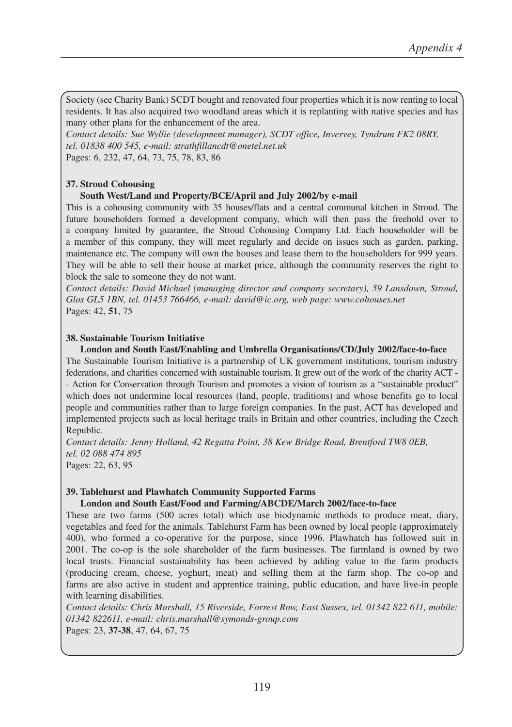Society (see Charity Bank) SCDT bought and renovated four properties which it is now renting to local residents. It has also acquired two woodland areas which it is replanting with native species and has many other plans for the enhancement of the area.

*Contact details: Sue Wyllie (development manager), SCDT office, Invervey, Tyndrum FK2 08RY, tel. 01838 400 545, e-mail: strathfillancdt@onetel.net.uk* 

Pages: *6*, 232, 47, 64, 73, 75, 78, 83, 86

#### **37. Stroud Cohousing**

#### **South West/Land and Property/BCE/April and July 2002/by e-mail**

This is a cohousing community with 35 houses/flats and a central communal kitchen in Stroud. The future householders formed a development company, which will then pass the freehold over to a company limited by guarantee, the Stroud Cohousing Company Ltd. Each householder will be a member of this company, they will meet regularly and decide on issues such as garden, parking, maintenance etc. The company will own the houses and lease them to the householders for 999 years. They will be able to sell their house at market price, although the community reserves the right to block the sale to someone they do not want.

*Contact details: David Michael (managing director and company secretary), 59 Lansdown, Stroud, Glos GL5 1BN, tel. 01453 766466, e-mail: david@ic.org, web page: www.cohouses.net* Pages: 42, **51**, 75

#### **38. Sustainable Tourism Initiative**

**London and South East/Enabling and Umbrella Organisations/CD/July 2002/face-to-face** The Sustainable Tourism Initiative is a partnership of UK government institutions, tourism industry federations, and charities concerned with sustainable tourism. It grew out of the work of the charity ACT - - Action for Conservation through Tourism and promotes a vision of tourism as a "sustainable product" which does not undermine local resources (land, people, traditions) and whose benefits go to local people and communities rather than to large foreign companies. In the past, ACT has developed and implemented projects such as local heritage trails in Britain and other countries, including the Czech Republic.

*Contact details: Jenny Holland, 42 Regatta Point, 38 Kew Bridge Road, Brentford TW8 0EB, tel. 02 088 474 895* Pages: 22, 63, 95

#### **39. Tablehurst and Plawhatch Community Supported Farms**

#### **London and South East/Food and Farming/ABCDE/March 2002/face-to-face**

These are two farms (500 acres total) which use biodynamic methods to produce meat, diary, vegetables and feed for the animals. Tablehurst Farm has been owned by local people (approximately 400), who formed a co-operative for the purpose, since 1996. Plawhatch has followed suit in 2001. The co-op is the sole shareholder of the farm businesses. The farmland is owned by two local trusts. Financial sustainability has been achieved by adding value to the farm products (producing cream, cheese, yoghurt, meat) and selling them at the farm shop. The co-op and farms are also active in student and apprentice training, public education, and have live-in people with learning disabilities.

*Contact details: Chris Marshall, 15 Riverside, Forrest Row, East Sussex, tel. 01342 822 611, mobile: 01342 822611, e-mail: chris.marshall@symonds-group.com*

Pages: 23, **37-38**, 47, 64, 67, 75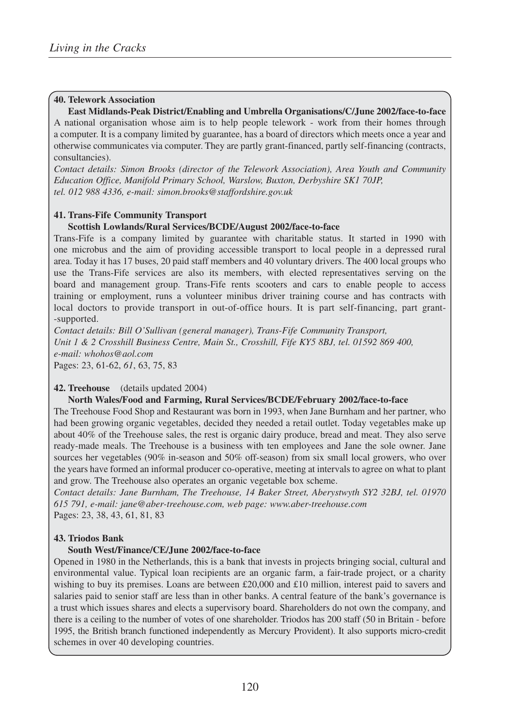#### **40. Telework Association**

**East Midlands-Peak District/Enabling and Umbrella Organisations/C/June 2002/face-to-face** A national organisation whose aim is to help people telework - work from their homes through a computer. It is a company limited by guarantee, has a board of directors which meets once a year and otherwise communicates via computer. They are partly grant-financed, partly self-financing (contracts, consultancies).

*Contact details: Simon Brooks (director of the Telework Association), Area Youth and Community Education Office, Manifold Primary School, Warslow, Buxton, Derbyshire SK1 70JP, tel. 012 988 4336, e-mail: simon.brooks@staffordshire.gov.uk*

#### **41. Trans-Fife Community Transport**

#### **Scottish Lowlands/Rural Services/BCDE/August 2002/face-to-face**

Trans-Fife is a company limited by guarantee with charitable status. It started in 1990 with one microbus and the aim of providing accessible transport to local people in a depressed rural area. Today it has 17 buses, 20 paid staff members and 40 voluntary drivers. The 400 local groups who use the Trans-Fife services are also its members, with elected representatives serving on the board and management group. Trans-Fife rents scooters and cars to enable people to access training or employment, runs a volunteer minibus driver training course and has contracts with local doctors to provide transport in out-of-office hours. It is part self-financing, part grant- -supported.

*Contact details: Bill O'Sullivan (general manager), Trans-Fife Community Transport, Unit 1 & 2 Crosshill Business Centre, Main St., Crosshill, Fife KY5 8BJ, tel. 01592 869 400, e-mail: whohos@aol.com* Pages: 23, 61-62, *61*, 63, 75, 83

#### **42. Treehouse** (details updated 2004)

#### **North Wales/Food and Farming, Rural Services/BCDE/February 2002/face-to-face**

The Treehouse Food Shop and Restaurant was born in 1993, when Jane Burnham and her partner, who had been growing organic vegetables, decided they needed a retail outlet. Today vegetables make up about 40% of the Treehouse sales, the rest is organic dairy produce, bread and meat. They also serve ready-made meals. The Treehouse is a business with ten employees and Jane the sole owner. Jane sources her vegetables (90% in-season and 50% off-season) from six small local growers, who over the years have formed an informal producer co-operative, meeting at intervals to agree on what to plant and grow. The Treehouse also operates an organic vegetable box scheme.

*Contact details: Jane Burnham, The Treehouse, 14 Baker Street, Aberystwyth SY2 32BJ, tel. 01970 615 791, e-mail: jane@aber-treehouse.com, web page: www.aber-treehouse.com*  Pages: 23, 38, 43, 61, 81, 83

#### **43. Triodos Bank**

#### **South West/Finance/CE/June 2002/face-to-face**

Opened in 1980 in the Netherlands, this is a bank that invests in projects bringing social, cultural and environmental value. Typical loan recipients are an organic farm, a fair-trade project, or a charity wishing to buy its premises. Loans are between £20,000 and £10 million, interest paid to savers and salaries paid to senior staff are less than in other banks. A central feature of the bank's governance is a trust which issues shares and elects a supervisory board. Shareholders do not own the company, and there is a ceiling to the number of votes of one shareholder. Triodos has 200 staff (50 in Britain - before 1995, the British branch functioned independently as Mercury Provident). It also supports micro-credit schemes in over 40 developing countries.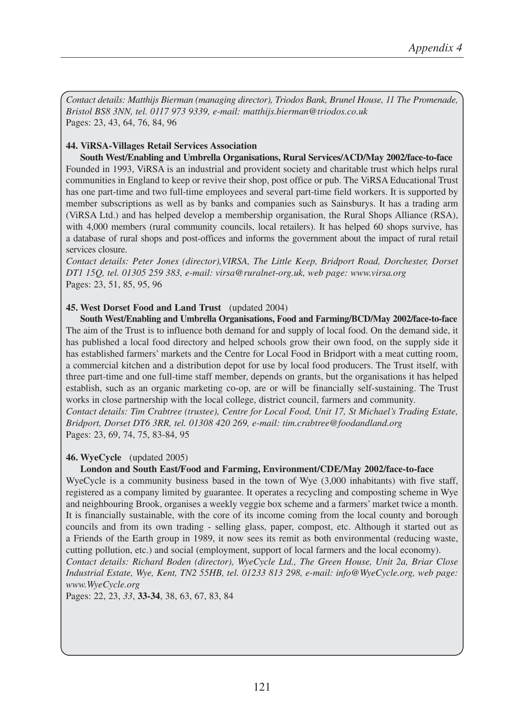*Contact details: Matthijs Bierman (managing director), Triodos Bank, Brunel House, 11 The Promenade, Bristol BS8 3NN, tel. 0117 973 9339, e-mail: matthijs.bierman@triodos.co.uk* Pages: 23, 43, 64, 76, 84, 96

## **44. ViRSA-Villages Retail Services Association**

**South West/Enabling and Umbrella Organisations, Rural Services/ACD/May 2002/face-to-face** Founded in 1993, ViRSA is an industrial and provident society and charitable trust which helps rural communities in England to keep or revive their shop, post office or pub. The ViRSA Educational Trust has one part-time and two full-time employees and several part-time field workers. It is supported by member subscriptions as well as by banks and companies such as Sainsburys. It has a trading arm (ViRSA Ltd.) and has helped develop a membership organisation, the Rural Shops Alliance (RSA), with 4,000 members (rural community councils, local retailers). It has helped 60 shops survive, has a database of rural shops and post-offices and informs the government about the impact of rural retail services closure.

*Contact details: Peter Jones (director),VIRSA, The Little Keep, Bridport Road, Dorchester, Dorset DT1 15Q, tel. 01305 259 383, e-mail: virsa@ruralnet-org.uk, web page: www.virsa.org*  Pages: 23, 51, 85, 95, 96

## **45. West Dorset Food and Land Trust** (updated 2004)

**South West/Enabling and Umbrella Organisations, Food and Farming/BCD/May 2002/face-to-face** The aim of the Trust is to influence both demand for and supply of local food. On the demand side, it has published a local food directory and helped schools grow their own food, on the supply side it has established farmers' markets and the Centre for Local Food in Bridport with a meat cutting room, a commercial kitchen and a distribution depot for use by local food producers. The Trust itself, with three part-time and one full-time staff member, depends on grants, but the organisations it has helped establish, such as an organic marketing co-op, are or will be financially self-sustaining. The Trust works in close partnership with the local college, district council, farmers and community.

*Contact details: Tim Crabtree (trustee), Centre for Local Food, Unit 17, St Michael's Trading Estate, Bridport, Dorset DT6 3RR, tel. 01308 420 269, e-mail: tim.crabtree@foodandland.org* Pages: 23, 69, 74, 75, 83-84, 95

#### **46. WyeCycle** (updated 2005)

#### **London and South East/Food and Farming, Environment/CDE/May 2002/face-to-face**

WyeCycle is a community business based in the town of Wye (3,000 inhabitants) with five staff, registered as a company limited by guarantee. It operates a recycling and composting scheme in Wye and neighbouring Brook, organises a weekly veggie box scheme and a farmers' market twice a month. It is financially sustainable, with the core of its income coming from the local county and borough councils and from its own trading - selling glass, paper, compost, etc. Although it started out as a Friends of the Earth group in 1989, it now sees its remit as both environmental (reducing waste, cutting pollution, etc.) and social (employment, support of local farmers and the local economy).

*Contact details: Richard Boden (director), WyeCycle Ltd., The Green House, Unit 2a, Briar Close Industrial Estate, Wye, Kent, TN2 55HB, tel. 01233 813 298, e-mail: info@WyeCycle.org, web page: www.WyeCycle.org* 

Pages: 22, 23, *33*, **33-34**, 38, 63, 67, 83, 84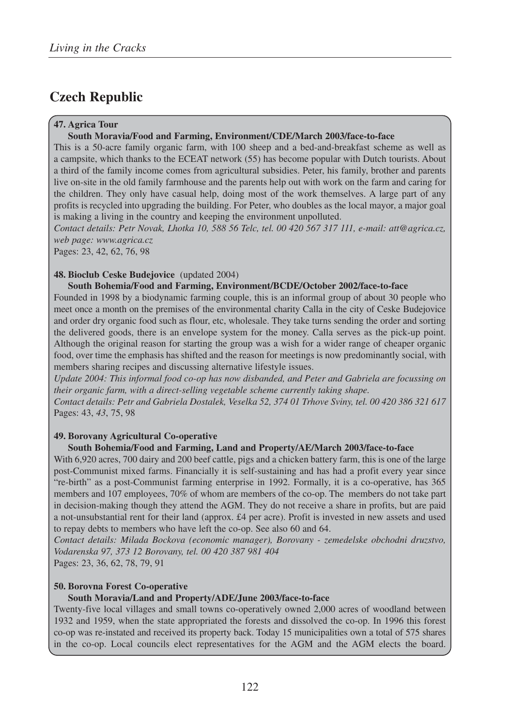# **Czech Republic**

## **47. Agrica Tour**

#### **South Moravia/Food and Farming, Environment/CDE/March 2003/face-to-face**

This is a 50-acre family organic farm, with 100 sheep and a bed-and-breakfast scheme as well as a campsite, which thanks to the ECEAT network (55) has become popular with Dutch tourists. About a third of the family income comes from agricultural subsidies. Peter, his family, brother and parents live on-site in the old family farmhouse and the parents help out with work on the farm and caring for the children. They only have casual help, doing most of the work themselves. A large part of any profits is recycled into upgrading the building. For Peter, who doubles as the local mayor, a major goal is making a living in the country and keeping the environment unpolluted.

*Contact details: Petr Novak, Lhotka 10, 588 56 Telc, tel. 00 420 567 317 111, e-mail: att@agrica.cz, web page: www.agrica.cz*

Pages: 23, 42, 62, 76, 98

## **48. Bioclub Ceske Budejovice** (updated 2004)

#### **South Bohemia/Food and Farming, Environment/BCDE/October 2002/face-to-face**

Founded in 1998 by a biodynamic farming couple, this is an informal group of about 30 people who meet once a month on the premises of the environmental charity Calla in the city of Ceske Budejovice and order dry organic food such as flour, etc, wholesale. They take turns sending the order and sorting the delivered goods, there is an envelope system for the money. Calla serves as the pick-up point. Although the original reason for starting the group was a wish for a wider range of cheaper organic food, over time the emphasis has shifted and the reason for meetings is now predominantly social, with members sharing recipes and discussing alternative lifestyle issues.

*Update 2004: This informal food co-op has now disbanded, and Peter and Gabriela are focussing on their organic farm, with a direct-selling vegetable scheme currently taking shape.* 

*Contact details: Petr and Gabriela Dostalek, Veselka 52, 374 01 Trhove Sviny, tel. 00 420 386 321 617* Pages: 43, *43*, 75, 98

#### **49. Borovany Agricultural Co-operative**

#### **South Bohemia/Food and Farming, Land and Property/AE/March 2003/face-to-face**

With 6,920 acres, 700 dairy and 200 beef cattle, pigs and a chicken battery farm, this is one of the large post-Communist mixed farms. Financially it is self-sustaining and has had a profit every year since "re-birth" as a post-Communist farming enterprise in 1992. Formally, it is a co-operative, has 365 members and 107 employees, 70% of whom are members of the co-op. The members do not take part in decision-making though they attend the AGM. They do not receive a share in profits, but are paid a not-unsubstantial rent for their land (approx. £4 per acre). Profit is invested in new assets and used to repay debts to members who have left the co-op. See also 60 and 64.

*Contact details: Milada Bockova (economic manager), Borovany - zemedelske obchodni druzstvo, Vodarenska 97, 373 12 Borovany, tel. 00 420 387 981 404*

Pages: 23, 36, 62, 78, 79, 91

#### **50. Borovna Forest Co-operative**

#### **South Moravia/Land and Property/ADE/June 2003/face-to-face**

Twenty-five local villages and small towns co-operatively owned 2,000 acres of woodland between 1932 and 1959, when the state appropriated the forests and dissolved the co-op. In 1996 this forest co-op was re-instated and received its property back. Today 15 municipalities own a total of 575 shares in the co-op. Local councils elect representatives for the AGM and the AGM elects the board.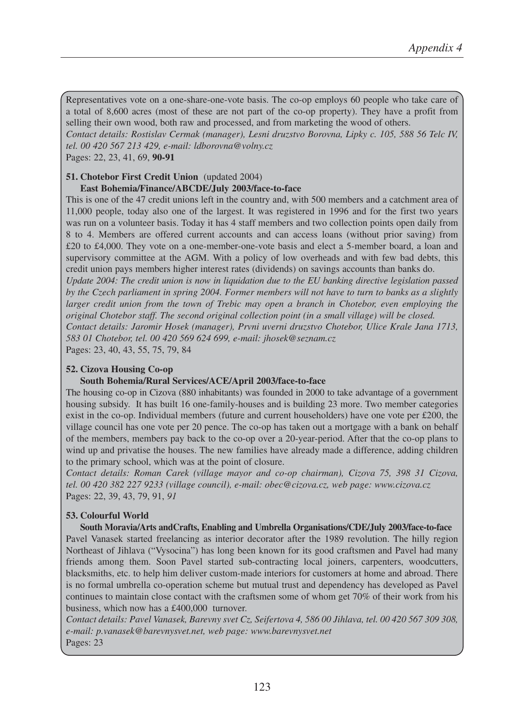Representatives vote on a one-share-one-vote basis. The co-op employs 60 people who take care of a total of 8,600 acres (most of these are not part of the co-op property). They have a profit from selling their own wood, both raw and processed, and from marketing the wood of others.

*Contact details: Rostislav Cermak (manager), Lesni druzstvo Borovna, Lipky c. 105, 588 56 Telc IV, tel. 00 420 567 213 429, e-mail: ldborovna@volny.cz*

Pages: 22, 23, 41, 69, **90-91**

# **51. Chotebor First Credit Union** (updated 2004)

# **East Bohemia/Finance/ABCDE/July 2003/face-to-face** This is one of the 47 credit unions left in the country and, with 500 members and a catchment area of

11,000 people, today also one of the largest. It was registered in 1996 and for the first two years was run on a volunteer basis. Today it has 4 staff members and two collection points open daily from 8 to 4. Members are offered current accounts and can access loans (without prior saving) from £20 to £4,000. They vote on a one-member-one-vote basis and elect a 5-member board, a loan and supervisory committee at the AGM. With a policy of low overheads and with few bad debts, this credit union pays members higher interest rates (dividends) on savings accounts than banks do.

*Update 2004: The credit union is now in liquidation due to the EU banking directive legislation passed by the Czech parliament in spring 2004. Former members will not have to turn to banks as a slightly larger credit union from the town of Trebic may open a branch in Chotebor, even employing the original Chotebor staff. The second original collection point (in a small village) will be closed.* 

*Contact details: Jaromir Hosek (manager), Prvni uverni druzstvo Chotebor, Ulice Krale Jana 1713, 583 01 Chotebor, tel. 00 420 569 624 699, e-mail: jhosek@seznam.cz*

Pages: 23, 40, 43, 55, 75, 79, 84

#### **52. Cizova Housing Co-op**

#### **South Bohemia/Rural Services/ACE/April 2003/face-to-face**

The housing co-op in Cizova (880 inhabitants) was founded in 2000 to take advantage of a government housing subsidy. It has built 16 one-family-houses and is building 23 more. Two member categories exist in the co-op. Individual members (future and current householders) have one vote per £200, the village council has one vote per 20 pence. The co-op has taken out a mortgage with a bank on behalf of the members, members pay back to the co-op over a 20-year-period. After that the co-op plans to wind up and privatise the houses. The new families have already made a difference, adding children to the primary school, which was at the point of closure.

*Contact details: Roman Carek (village mayor and co-op chairman), Cizova 75, 398 31 Cizova, tel. 00 420 382 227 9233 (village council), e-mail: obec@cizova.cz, web page: www.cizova.cz* Pages: 22, 39, 43, 79, 91, *91*

#### **53. Colourful World**

#### **South Moravia/Arts andCrafts, Enabling and Umbrella Organisations/CDE/July 2003/face-to-face** Pavel Vanasek started freelancing as interior decorator after the 1989 revolution. The hilly region Northeast of Jihlava ("Vysocina") has long been known for its good craftsmen and Pavel had many friends among them. Soon Pavel started sub-contracting local joiners, carpenters, woodcutters, blacksmiths, etc. to help him deliver custom-made interiors for customers at home and abroad. There is no formal umbrella co-operation scheme but mutual trust and dependency has developed as Pavel continues to maintain close contact with the craftsmen some of whom get 70% of their work from his business, which now has a £400,000 turnover.

*Contact details: Pavel Vanasek, Barevny svet Cz, Seifertova 4, 586 00 Jihlava, tel. 00 420 567 309 308, e-mail: p.vanasek@barevnysvet.net, web page: www.barevnysvet.net* Pages: 23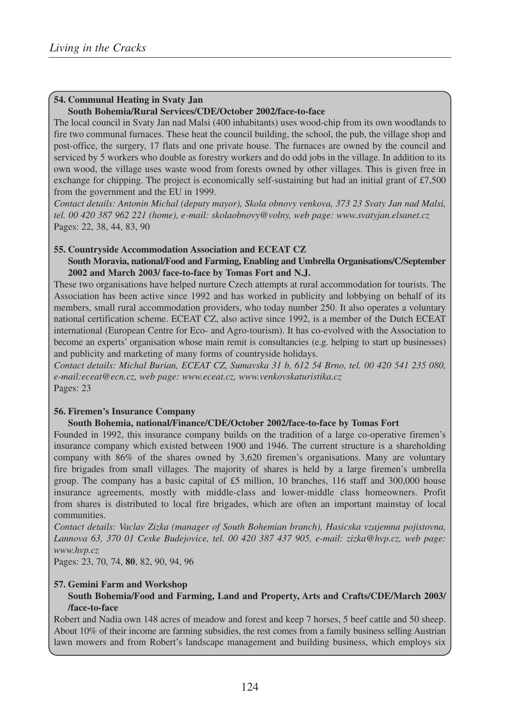## **54. Communal Heating in Svaty Jan**

#### **South Bohemia/Rural Services/CDE/October 2002/face-to-face**

The local council in Svaty Jan nad Malsi (400 inhabitants) uses wood-chip from its own woodlands to fire two communal furnaces. These heat the council building, the school, the pub, the village shop and post-office, the surgery, 17 flats and one private house. The furnaces are owned by the council and serviced by 5 workers who double as forestry workers and do odd jobs in the village. In addition to its own wood, the village uses waste wood from forests owned by other villages. This is given free in exchange for chipping. The project is economically self-sustaining but had an initial grant of  $£7,500$ from the government and the EU in 1999.

*Contact details: Antonin Michal (deputy mayor), Skola obnovy venkova, 373 23 Svaty Jan nad Malsi, tel. 00 420 387 962 221 (home), e-mail: skolaobnovy@volny, web page: www.svatyjan.elsanet.cz* Pages: 22, 38, 44, 83, 90

#### **55. Countryside Accommodation Association and ECEAT CZ**

#### **South Moravia, national/Food and Farming, Enabling and Umbrella Organisations/C/September 2002 and March 2003/ face-to-face by Tomas Fort and N.J.**

These two organisations have helped nurture Czech attempts at rural accommodation for tourists. The Association has been active since 1992 and has worked in publicity and lobbying on behalf of its members, small rural accommodation providers, who today number 250. It also operates a voluntary national certification scheme. ECEAT CZ, also active since 1992, is a member of the Dutch ECEAT international (European Centre for Eco- and Agro-tourism). It has co-evolved with the Association to become an experts' organisation whose main remit is consultancies (e.g. helping to start up businesses) and publicity and marketing of many forms of countryside holidays.

*Contact details: Michal Burian, ECEAT CZ, Sumavska 31 b, 612 54 Brno, tel. 00 420 541 235 080, e-mail:eceat@ecn.cz, web page: www.eceat.cz, www.venkovskaturistika.cz* Pages: 23

#### **56. Firemen's Insurance Company**

## **South Bohemia, national/Finance/CDE/October 2002/face-to-face by Tomas Fort**

Founded in 1992, this insurance company builds on the tradition of a large co-operative firemen's insurance company which existed between 1900 and 1946. The current structure is a shareholding company with 86% of the shares owned by 3,620 firemen's organisations. Many are voluntary fire brigades from small villages. The majority of shares is held by a large firemen's umbrella group. The company has a basic capital of £5 million, 10 branches, 116 staff and 300,000 house insurance agreements, mostly with middle-class and lower-middle class homeowners. Profit from shares is distributed to local fire brigades, which are often an important mainstay of local communities.

*Contact details: Vaclav Zizka (manager of South Bohemian branch), Hasicska vzajemna pojistovna, Lannova 63, 370 01 Ceske Budejovice, tel. 00 420 387 437 905, e-mail: zizka@hvp.cz, web page: www.hvp.cz*

Pages: 23, 70, 74, **80**, 82, 90, 94, 96

#### **57. Gemini Farm and Workshop**

## **South Bohemia/Food and Farming, Land and Property, Arts and Crafts/CDE/March 2003/ /face-to-face**

Robert and Nadia own 148 acres of meadow and forest and keep 7 horses, 5 beef cattle and 50 sheep. About 10% of their income are farming subsidies, the rest comes from a family business selling Austrian lawn mowers and from Robert's landscape management and building business, which employs six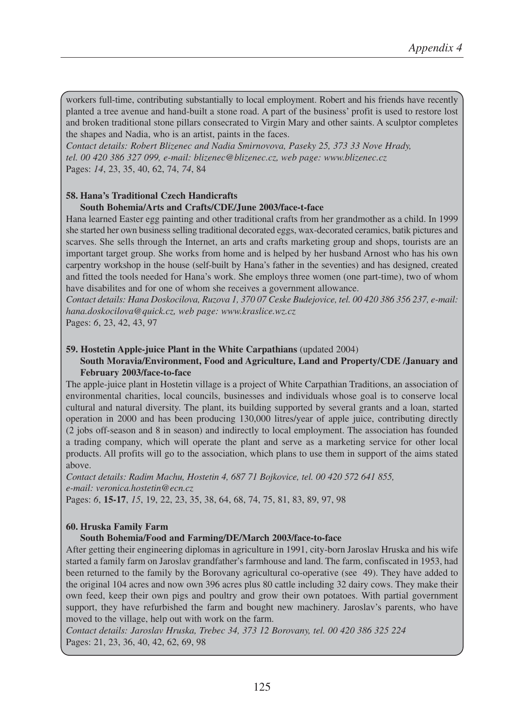workers full-time, contributing substantially to local employment. Robert and his friends have recently planted a tree avenue and hand-built a stone road. A part of the business' profit is used to restore lost and broken traditional stone pillars consecrated to Virgin Mary and other saints. A sculptor completes the shapes and Nadia, who is an artist, paints in the faces.

*Contact details: Robert Blizenec and Nadia Smirnovova, Paseky 25, 373 33 Nove Hrady, tel. 00 420 386 327 099, e-mail: blizenec@blizenec.cz, web page: www.blizenec.cz* Pages: *14*, 23, 35, 40, 62, 74, *74*, 84

## **58. Hana's Traditional Czech Handicrafts**

#### **South Bohemia/Arts and Crafts/CDE/June 2003/face-t-face**

Hana learned Easter egg painting and other traditional crafts from her grandmother as a child. In 1999 she started her own business selling traditional decorated eggs, wax-decorated ceramics, batik pictures and scarves. She sells through the Internet, an arts and crafts marketing group and shops, tourists are an important target group. She works from home and is helped by her husband Arnost who has his own carpentry workshop in the house (self-built by Hana's father in the seventies) and has designed, created and fitted the tools needed for Hana's work. She employs three women (one part-time), two of whom have disabilites and for one of whom she receives a government allowance.

*Contact details: Hana Doskocilova, Ruzova 1, 370 07 Ceske Budejovice, tel. 00 420 386 356 237, e-mail: hana.doskocilova@quick.cz, web page: www.kraslice.wz.cz*

Pages: *6*, 23, 42, 43, 97

#### **59. Hostetin Apple-juice Plant in the White Carpathians** (updated 2004)

#### **South Moravia/Environment, Food and Agriculture, Land and Property/CDE /January and February 2003/face-to-face**

The apple-juice plant in Hostetin village is a project of White Carpathian Traditions, an association of environmental charities, local councils, businesses and individuals whose goal is to conserve local cultural and natural diversity. The plant, its building supported by several grants and a loan, started operation in 2000 and has been producing 130,000 litres/year of apple juice, contributing directly (2 jobs off-season and 8 in season) and indirectly to local employment. The association has founded a trading company, which will operate the plant and serve as a marketing service for other local products. All profits will go to the association, which plans to use them in support of the aims stated above.

*Contact details: Radim Machu, Hostetin 4, 687 71 Bojkovice, tel. 00 420 572 641 855, e-mail: veronica.hostetin@ecn.cz* Pages: *6*, **15-17**, *15*, 19, 22, 23, 35, 38, 64, 68, 74, 75, 81, 83, 89, 97, 98

#### **60. Hruska Family Farm**

#### **South Bohemia/Food and Farming/DE/March 2003/face-to-face**

After getting their engineering diplomas in agriculture in 1991, city-born Jaroslav Hruska and his wife started a family farm on Jaroslav grandfather's farmhouse and land. The farm, confiscated in 1953, had been returned to the family by the Borovany agricultural co-operative (see 49). They have added to the original 104 acres and now own 396 acres plus 80 cattle including 32 dairy cows. They make their own feed, keep their own pigs and poultry and grow their own potatoes. With partial government support, they have refurbished the farm and bought new machinery. Jaroslav's parents, who have moved to the village, help out with work on the farm.

*Contact details: Jaroslav Hruska, Trebec 34, 373 12 Borovany, tel. 00 420 386 325 224* Pages: 21, 23, 36, 40, 42, 62, 69, 98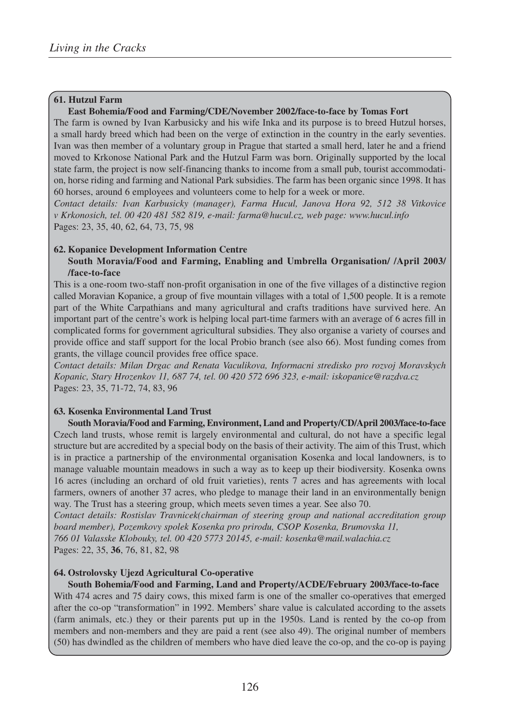#### **61. Hutzul Farm**

#### **East Bohemia/Food and Farming/CDE/November 2002/face-to-face by Tomas Fort**

The farm is owned by Ivan Karbusicky and his wife Inka and its purpose is to breed Hutzul horses, a small hardy breed which had been on the verge of extinction in the country in the early seventies. Ivan was then member of a voluntary group in Prague that started a small herd, later he and a friend moved to Krkonose National Park and the Hutzul Farm was born. Originally supported by the local state farm, the project is now self-financing thanks to income from a small pub, tourist accommodation, horse riding and farming and National Park subsidies. The farm has been organic since 1998. It has 60 horses, around 6 employees and volunteers come to help for a week or more.

*Contact details: Ivan Karbusicky (manager), Farma Hucul, Janova Hora 92, 512 38 Vitkovice v Krkonosich, tel. 00 420 481 582 819, e-mail: farma@hucul.cz, web page: www.hucul.info* Pages: 23, 35, 40, 62, 64, 73, 75, 98

#### **62. Kopanice Development Information Centre**

#### **South Moravia/Food and Farming, Enabling and Umbrella Organisation/ /April 2003/ /face-to-face**

This is a one-room two-staff non-profit organisation in one of the five villages of a distinctive region called Moravian Kopanice, a group of five mountain villages with a total of 1,500 people. It is a remote part of the White Carpathians and many agricultural and crafts traditions have survived here. An important part of the centre's work is helping local part-time farmers with an average of 6 acres fill in complicated forms for government agricultural subsidies. They also organise a variety of courses and provide office and staff support for the local Probio branch (see also 66). Most funding comes from grants, the village council provides free office space.

*Contact details: Milan Drgac and Renata Vaculikova, Informacni stredisko pro rozvoj Moravskych Kopanic, Stary Hrozenkov 11, 687 74, tel. 00 420 572 696 323, e-mail: iskopanice@razdva.cz*  Pages: 23, 35, 71-72, 74, 83, 96

#### **63. Kosenka Environmental Land Trust**

**South Moravia/Food and Farming, Environment, Land and Property/CD/April 2003/face-to-face** Czech land trusts, whose remit is largely environmental and cultural, do not have a specific legal structure but are accredited by a special body on the basis of their activity. The aim of this Trust, which is in practice a partnership of the environmental organisation Kosenka and local landowners, is to manage valuable mountain meadows in such a way as to keep up their biodiversity. Kosenka owns 16 acres (including an orchard of old fruit varieties), rents 7 acres and has agreements with local farmers, owners of another 37 acres, who pledge to manage their land in an environmentally benign way. The Trust has a steering group, which meets seven times a year. See also 70.

*Contact details: Rostislav Travnicek(chairman of steering group and national accreditation group board member), Pozemkovy spolek Kosenka pro prirodu, CSOP Kosenka, Brumovska 11, 766 01 Valasske Klobouky, tel. 00 420 5773 20145, e-mail: kosenka@mail.walachia.cz* Pages: 22, 35, **36**, 76, 81, 82, 98

#### **64. Ostrolovsky Ujezd Agricultural Co-operative**

**South Bohemia/Food and Farming, Land and Property/ACDE/February 2003/face-to-face** With 474 acres and 75 dairy cows, this mixed farm is one of the smaller co-operatives that emerged after the co-op "transformation" in 1992. Members' share value is calculated according to the assets (farm animals, etc.) they or their parents put up in the 1950s. Land is rented by the co-op from members and non-members and they are paid a rent (see also 49). The original number of members (50) has dwindled as the children of members who have died leave the co-op, and the co-op is paying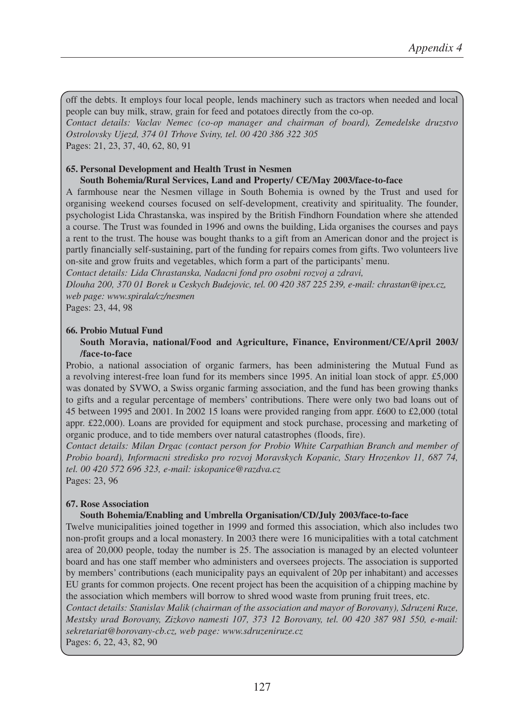off the debts. It employs four local people, lends machinery such as tractors when needed and local people can buy milk, straw, grain for feed and potatoes directly from the co-op. *Contact details: Vaclav Nemec (co-op manager and chairman of board), Zemedelske druzstvo Ostrolovsky Ujezd, 374 01 Trhove Sviny, tel. 00 420 386 322 305* Pages: 21, 23, 37, 40, 62, 80, 91

#### **65. Personal Development and Health Trust in Nesmen**

#### **South Bohemia/Rural Services, Land and Property/ CE/May 2003/face-to-face**

A farmhouse near the Nesmen village in South Bohemia is owned by the Trust and used for organising weekend courses focused on self-development, creativity and spirituality. The founder, psychologist Lida Chrastanska, was inspired by the British Findhorn Foundation where she attended a course. The Trust was founded in 1996 and owns the building, Lida organises the courses and pays a rent to the trust. The house was bought thanks to a gift from an American donor and the project is partly financially self-sustaining, part of the funding for repairs comes from gifts. Two volunteers live on-site and grow fruits and vegetables, which form a part of the participants' menu.

*Contact details: Lida Chrastanska, Nadacni fond pro osobni rozvoj a zdravi,* 

*Dlouha 200, 370 01 Borek u Ceskych Budejovic, tel. 00 420 387 225 239, e-mail: chrastan@ipex.cz, web page: www.spirala/cz/nesmen*

Pages: 23, 44, 98

#### **66. Probio Mutual Fund**

#### **South Moravia, national/Food and Agriculture, Finance, Environment/CE/April 2003/ /face-to-face**

Probio, a national association of organic farmers, has been administering the Mutual Fund as a revolving interest-free loan fund for its members since 1995. An initial loan stock of appr. £5,000 was donated by SVWO, a Swiss organic farming association, and the fund has been growing thanks to gifts and a regular percentage of members' contributions. There were only two bad loans out of 45 between 1995 and 2001. In 2002 15 loans were provided ranging from appr. £600 to £2,000 (total appr. £22,000). Loans are provided for equipment and stock purchase, processing and marketing of organic produce, and to tide members over natural catastrophes (floods, fire).

*Contact details: Milan Drgac (contact person for Probio White Carpathian Branch and member of Probio board), Informacni stredisko pro rozvoj Moravskych Kopanic, Stary Hrozenkov 11, 687 74, tel. 00 420 572 696 323, e-mail: iskopanice@razdva.cz*  Pages: 23, 96

**67. Rose Association**

#### **South Bohemia/Enabling and Umbrella Organisation/CD/July 2003/face-to-face**

Twelve municipalities joined together in 1999 and formed this association, which also includes two non-profit groups and a local monastery. In 2003 there were 16 municipalities with a total catchment area of 20,000 people, today the number is 25. The association is managed by an elected volunteer board and has one staff member who administers and oversees projects. The association is supported by members' contributions (each municipality pays an equivalent of 20p per inhabitant) and accesses EU grants for common projects. One recent project has been the acquisition of a chipping machine by the association which members will borrow to shred wood waste from pruning fruit trees, etc.

*Contact details: Stanislav Malik (chairman of the association and mayor of Borovany), Sdruzeni Ruze, Mestsky urad Borovany, Zizkovo namesti 107, 373 12 Borovany, tel. 00 420 387 981 550, e-mail: sekretariat@borovany-cb.cz, web page: www.sdruzeniruze.cz* 

Pages: *6*, 22, 43, 82, 90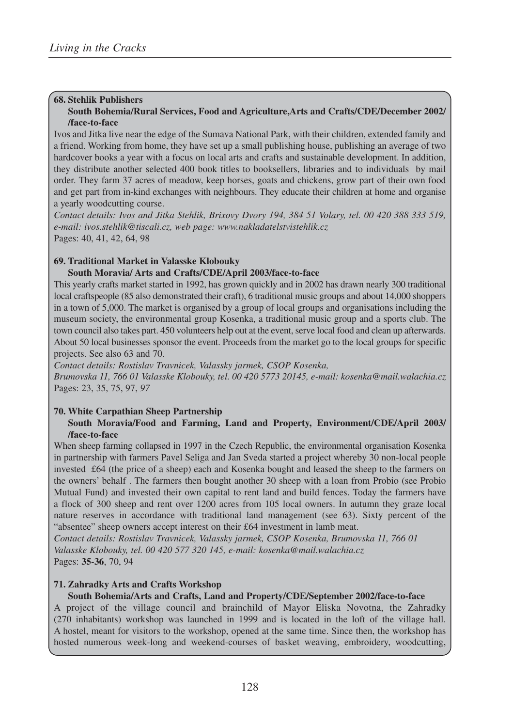## **68. Stehlik Publishers**

#### **South Bohemia/Rural Services, Food and Agriculture,Arts and Crafts/CDE/December 2002/ /face-to-face**

Ivos and Jitka live near the edge of the Sumava National Park, with their children, extended family and a friend. Working from home, they have set up a small publishing house, publishing an average of two hardcover books a year with a focus on local arts and crafts and sustainable development. In addition, they distribute another selected 400 book titles to booksellers, libraries and to individuals by mail order. They farm 37 acres of meadow, keep horses, goats and chickens, grow part of their own food and get part from in-kind exchanges with neighbours. They educate their children at home and organise a yearly woodcutting course.

*Contact details: Ivos and Jitka Stehlik, Brixovy Dvory 194, 384 51 Volary, tel. 00 420 388 333 519, e-mail: ivos.stehlik@tiscali.cz, web page: www.nakladatelstvistehlik.cz* Pages: 40, 41, 42, 64, 98

#### **69. Traditional Market in Valasske Klobouky**

#### **South Moravia/ Arts and Crafts/CDE/April 2003/face-to-face**

This yearly crafts market started in 1992, has grown quickly and in 2002 has drawn nearly 300 traditional local craftspeople (85 also demonstrated their craft), 6 traditional music groups and about 14,000 shoppers in a town of 5,000. The market is organised by a group of local groups and organisations including the museum society, the environmental group Kosenka, a traditional music group and a sports club. The town council also takes part. 450 volunteers help out at the event, serve local food and clean up afterwards. About 50 local businesses sponsor the event. Proceeds from the market go to the local groups for specific projects. See also 63 and 70.

*Contact details: Rostislav Travnicek, Valassky jarmek, CSOP Kosenka, Brumovska 11, 766 01 Valasske Klobouky, tel. 00 420 5773 20145, e-mail: kosenka@mail.walachia.cz* Pages: 23, 35, 75, 97, *97*

# **70. White Carpathian Sheep Partnership**

#### **South Moravia/Food and Farming, Land and Property, Environment/CDE/April 2003/ /face-to-face**

When sheep farming collapsed in 1997 in the Czech Republic, the environmental organisation Kosenka in partnership with farmers Pavel Seliga and Jan Sveda started a project whereby 30 non-local people invested £64 (the price of a sheep) each and Kosenka bought and leased the sheep to the farmers on the owners' behalf . The farmers then bought another 30 sheep with a loan from Probio (see Probio Mutual Fund) and invested their own capital to rent land and build fences. Today the farmers have a flock of 300 sheep and rent over 1200 acres from 105 local owners. In autumn they graze local nature reserves in accordance with traditional land management (see 63). Sixty percent of the "absentee" sheep owners accept interest on their £64 investment in lamb meat.

*Contact details: Rostislav Travnicek, Valassky jarmek, CSOP Kosenka, Brumovska 11, 766 01 Valasske Klobouky, tel. 00 420 577 320 145, e-mail: kosenka@mail.walachia.cz* Pages: **35-36**, 70, 94

#### **71. Zahradky Arts and Crafts Workshop**

#### **South Bohemia/Arts and Crafts, Land and Property/CDE/September 2002/face-to-face**

A project of the village council and brainchild of Mayor Eliska Novotna, the Zahradky (270 inhabitants) workshop was launched in 1999 and is located in the loft of the village hall. A hostel, meant for visitors to the workshop, opened at the same time. Since then, the workshop has hosted numerous week-long and weekend-courses of basket weaving, embroidery, woodcutting,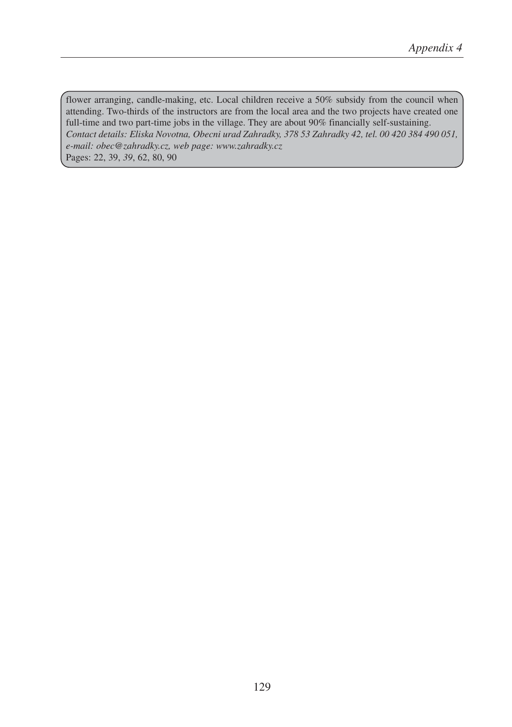flower arranging, candle-making, etc. Local children receive a 50% subsidy from the council when attending. Two-thirds of the instructors are from the local area and the two projects have created one full-time and two part-time jobs in the village. They are about 90% financially self-sustaining. *Contact details: Eliska Novotna, Obecni urad Zahradky, 378 53 Zahradky 42, tel. 00 420 384 490 051, e-mail: obec@zahradky.cz, web page: www.zahradky.cz*  Pages: 22, 39, *39*, 62, 80, 90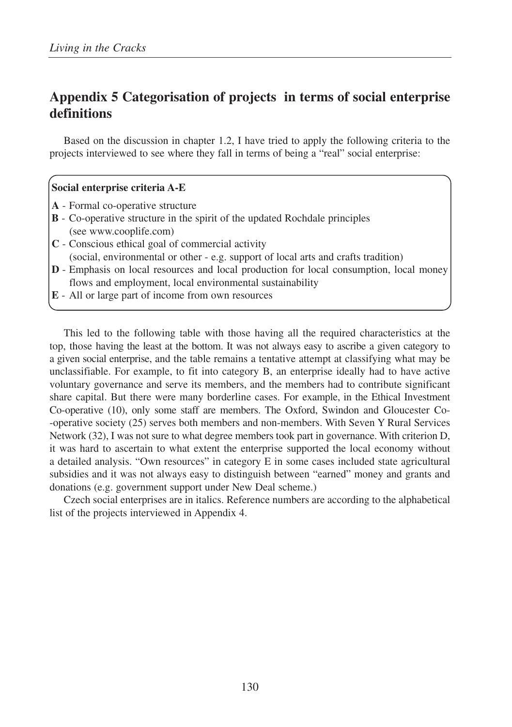# **Appendix 5 Categorisation of projects in terms of social enterprise definitions**

Based on the discussion in chapter 1.2, I have tried to apply the following criteria to the projects interviewed to see where they fall in terms of being a "real" social enterprise:

# **Social enterprise criteria A-E**

- **A** Formal co-operative structure
- **B** Co-operative structure in the spirit of the updated Rochdale principles (see www.cooplife.com)
- **C** Conscious ethical goal of commercial activity (social, environmental or other - e.g. support of local arts and crafts tradition)
- **D** Emphasis on local resources and local production for local consumption, local money flows and employment, local environmental sustainability
- **E** All or large part of income from own resources

This led to the following table with those having all the required characteristics at the top, those having the least at the bottom. It was not always easy to ascribe a given category to a given social enterprise, and the table remains a tentative attempt at classifying what may be unclassifiable. For example, to fit into category B, an enterprise ideally had to have active voluntary governance and serve its members, and the members had to contribute significant share capital. But there were many borderline cases. For example, in the Ethical Investment Co-operative (10), only some staff are members. The Oxford, Swindon and Gloucester Co- -operative society (25) serves both members and non-members. With Seven Y Rural Services Network (32), I was not sure to what degree members took part in governance. With criterion D, it was hard to ascertain to what extent the enterprise supported the local economy without a detailed analysis. "Own resources" in category E in some cases included state agricultural subsidies and it was not always easy to distinguish between "earned" money and grants and donations (e.g. government support under New Deal scheme.)

Czech social enterprises are in italics. Reference numbers are according to the alphabetical list of the projects interviewed in Appendix 4.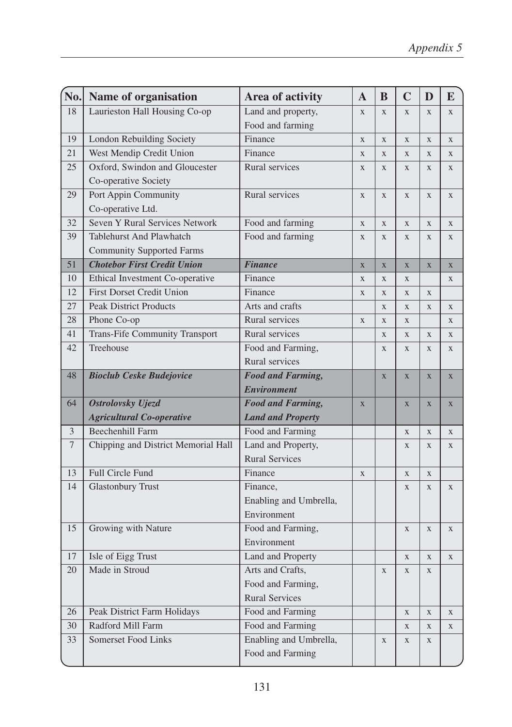| No.            | Name of organisation                  | Area of activity         | $\mathbf{A}$   | $\bf{B}$    | $\mathbf C$    | D            | E           |
|----------------|---------------------------------------|--------------------------|----------------|-------------|----------------|--------------|-------------|
| 18             | Laurieston Hall Housing Co-op         | Land and property,       | X              | X           | $\mathbf{X}$   | X            | $\mathbf X$ |
|                |                                       | Food and farming         |                |             |                |              |             |
| 19             | <b>London Rebuilding Society</b>      | Finance                  | X              | X           | $\mathbf{X}$   | $\mathbf X$  | $\mathbf X$ |
| 21             | West Mendip Credit Union              | Finance                  | $\mathbf X$    | $\mathbf X$ | $\mathbf X$    | $\mathbf X$  | $\mathbf X$ |
| 25             | Oxford, Swindon and Gloucester        | Rural services           | $\mathbf X$    | $\mathbf X$ | $\mathbf X$    | $\mathbf X$  | $\mathbf X$ |
|                | Co-operative Society                  |                          |                |             |                |              |             |
| 29             | Port Appin Community                  | Rural services           | X              | $\mathbf X$ | $\mathbf X$    | $\mathbf X$  | $\mathbf X$ |
|                | Co-operative Ltd.                     |                          |                |             |                |              |             |
| 32             | Seven Y Rural Services Network        | Food and farming         | X              | X           | $\mathbf X$    | $\mathbf X$  | $\mathbf X$ |
| 39             | <b>Tablehurst And Plawhatch</b>       | Food and farming         | $\mathbf X$    | X           | X              | $\mathbf X$  | $\mathbf X$ |
|                | <b>Community Supported Farms</b>      |                          |                |             |                |              |             |
| 51             | <b>Chotebor First Credit Union</b>    | <b>Finance</b>           | $\overline{X}$ | $\mathbf X$ | $\overline{X}$ | $\mathbf X$  | $\mathbf X$ |
| 10             | Ethical Investment Co-operative       | Finance                  | X              | $\mathbf X$ | X              |              | $\mathbf X$ |
| 12             | <b>First Dorset Credit Union</b>      | Finance                  | $\mathbf X$    | $\mathbf X$ | $\mathbf X$    | $\mathbf X$  |             |
| 27             | <b>Peak District Products</b>         | Arts and crafts          |                | $\mathbf X$ | X              | $\mathbf X$  | $\mathbf X$ |
| 28             | Phone Co-op                           | Rural services           | $\mathbf X$    | $\mathbf X$ | X              |              | $\mathbf X$ |
| 41             | <b>Trans-Fife Community Transport</b> | Rural services           |                | $\mathbf X$ | $\mathbf X$    | $\mathbf X$  | $\mathbf X$ |
| 42             | Treehouse                             | Food and Farming,        |                | X           | $\mathbf{X}$   | X            | $\mathbf X$ |
|                |                                       | Rural services           |                |             |                |              |             |
| 48             | <b>Bioclub Ceske Budejovice</b>       | <b>Food and Farming,</b> |                | $\mathbf X$ | $\overline{X}$ | $\mathbf{X}$ | $\mathbf X$ |
|                |                                       | <b>Environment</b>       |                |             |                |              |             |
| 64             | Ostrolovsky Ujezd                     | <b>Food and Farming,</b> | $\mathbf X$    |             | $\mathbf X$    | $\mathbf X$  | $\mathbf X$ |
|                | <b>Agricultural Co-operative</b>      | <b>Land and Property</b> |                |             |                |              |             |
| $\overline{3}$ | <b>Beechenhill Farm</b>               | Food and Farming         |                |             | $\overline{X}$ | $\mathbf{X}$ | X           |
| $\overline{7}$ | Chipping and District Memorial Hall   | Land and Property,       |                |             | X              | $\mathbf X$  | $\mathbf X$ |
|                |                                       | <b>Rural Services</b>    |                |             |                |              |             |
| 13             | Full Circle Fund                      | Finance                  | $\mathbf X$    |             | $\mathbf X$    | $\mathbf X$  |             |
| 14             | <b>Glastonbury Trust</b>              | Finance,                 |                |             | X              | $\mathbf X$  | $\mathbf X$ |
|                |                                       | Enabling and Umbrella,   |                |             |                |              |             |
|                |                                       | Environment              |                |             |                |              |             |
| 15             | Growing with Nature                   | Food and Farming,        |                |             | $\mathbf{X}$   | $\mathbf X$  | $\mathbf X$ |
|                |                                       | Environment              |                |             |                |              |             |
| 17             | Isle of Eigg Trust                    | Land and Property        |                |             | $\mathbf X$    | X            | $\mathbf X$ |
| 20             | Made in Stroud                        | Arts and Crafts,         |                | $\mathbf X$ | $\mathbf X$    | X            |             |
|                |                                       | Food and Farming,        |                |             |                |              |             |
|                |                                       | <b>Rural Services</b>    |                |             |                |              |             |
| 26             | Peak District Farm Holidays           | Food and Farming         |                |             | X              | $\mathbf X$  | $\mathbf X$ |
| 30             | Radford Mill Farm                     | Food and Farming         |                |             | $\mathbf X$    | $\mathbf X$  | $\mathbf X$ |
| 33             | Somerset Food Links                   | Enabling and Umbrella,   |                | X           | $\mathbf X$    | $\mathbf X$  |             |
|                |                                       | Food and Farming         |                |             |                |              |             |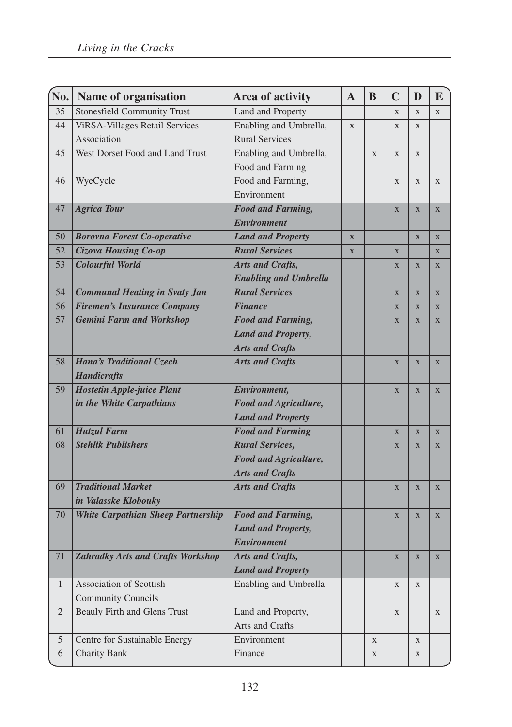| No.           | Name of organisation                      | Area of activity             | $\mathbf{A}$ | B | $\mathbf C$ | D              | E           |
|---------------|-------------------------------------------|------------------------------|--------------|---|-------------|----------------|-------------|
| 35            | <b>Stonesfield Community Trust</b>        | Land and Property            |              |   | X           | X              | X           |
| 44            | <b>ViRSA-Villages Retail Services</b>     | Enabling and Umbrella,       | X            |   | X           | $\mathbf{X}$   |             |
|               | Association                               | <b>Rural Services</b>        |              |   |             |                |             |
| 45            | West Dorset Food and Land Trust           | Enabling and Umbrella,       |              | X | $\mathbf X$ | $\mathbf X$    |             |
|               |                                           | Food and Farming             |              |   |             |                |             |
| 46            | WyeCycle                                  | Food and Farming,            |              |   | X           | $\mathbf{X}$   | X           |
|               |                                           | Environment                  |              |   |             |                |             |
| 47            | <b>Agrica Tour</b>                        | <b>Food and Farming,</b>     |              |   | X           | $\overline{X}$ | $\mathbf X$ |
|               |                                           | <b>Environment</b>           |              |   |             |                |             |
| 50            | <b>Borovna Forest Co-operative</b>        | <b>Land and Property</b>     | $\mathbf X$  |   |             | $\mathbf X$    | $\mathbf X$ |
| 52            | Cizova Housing Co-op                      | <b>Rural Services</b>        | X            |   | X           |                | X           |
| 53            | <b>Colourful World</b>                    | Arts and Crafts,             |              |   | X           | X              | X           |
|               |                                           | <b>Enabling and Umbrella</b> |              |   |             |                |             |
| 54            | <b>Communal Heating in Svaty Jan</b>      | <b>Rural Services</b>        |              |   | X           | X              | $\mathbf X$ |
| 56            | <b>Firemen's Insurance Company</b>        | <b>Finance</b>               |              |   | X           | X              | $\mathbf X$ |
| 57            | <b>Gemini Farm and Workshop</b>           | <b>Food and Farming,</b>     |              |   | X           | $\mathbf X$    | $\mathbf X$ |
|               |                                           | <b>Land and Property,</b>    |              |   |             |                |             |
|               |                                           | <b>Arts and Crafts</b>       |              |   |             |                |             |
| 58            | <b>Hana's Traditional Czech</b>           | <b>Arts and Crafts</b>       |              |   | X           | $\mathbf X$    | $\mathbf X$ |
|               | <b>Handicrafts</b>                        |                              |              |   |             |                |             |
| 59            | <b>Hostetin Apple-juice Plant</b>         | Environment,                 |              |   | X           | X              | X           |
|               | in the White Carpathians                  | <b>Food and Agriculture,</b> |              |   |             |                |             |
|               |                                           | <b>Land and Property</b>     |              |   |             |                |             |
| 61            | <b>Hutzul Farm</b>                        | <b>Food and Farming</b>      |              |   | X           | X              | X           |
| 68            | <b>Stehlik Publishers</b>                 | <b>Rural Services,</b>       |              |   | X           | $\overline{X}$ | $\mathbf X$ |
|               |                                           | <b>Food and Agriculture,</b> |              |   |             |                |             |
|               |                                           | <b>Arts and Crafts</b>       |              |   |             |                |             |
| 69            | <b>Traditional Market</b>                 | <b>Arts and Crafts</b>       |              |   | X           | $\mathbf X$    | $\mathbf X$ |
|               | in Valasske Klobouky                      |                              |              |   |             |                |             |
| 70            | <b>White Carpathian Sheep Partnership</b> | <b>Food and Farming,</b>     |              |   | X           | X              | X           |
|               |                                           | <b>Land and Property,</b>    |              |   |             |                |             |
|               |                                           | <b>Environment</b>           |              |   |             |                |             |
| 71            | <b>Zahradky Arts and Crafts Workshop</b>  | Arts and Crafts,             |              |   | $\mathbf X$ | X              | $\mathbf X$ |
|               |                                           | <b>Land and Property</b>     |              |   |             |                |             |
| $\mathbf{1}$  | Association of Scottish                   | Enabling and Umbrella        |              |   | X           | X              |             |
|               | <b>Community Councils</b>                 |                              |              |   |             |                |             |
| $\sqrt{2}$    | <b>Beauly Firth and Glens Trust</b>       | Land and Property,           |              |   | X           |                | $\mathbf X$ |
|               |                                           | Arts and Crafts              |              |   |             |                |             |
| $\mathfrak s$ | Centre for Sustainable Energy             | Environment                  |              | X |             | X              |             |
| 6             | <b>Charity Bank</b>                       | Finance                      |              | X |             | X              |             |